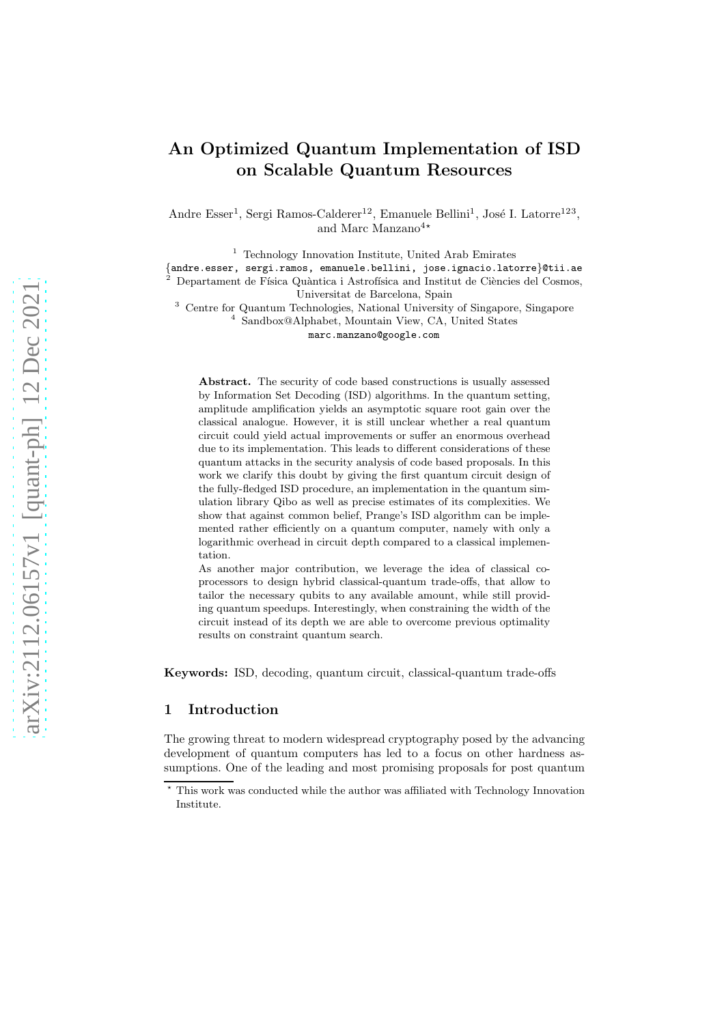# An Optimized Quantum Implementation of ISD on Scalable Quantum Resources

Andre Esser<sup>1</sup>, Sergi Ramos-Calderer<sup>12</sup>, Emanuele Bellini<sup>1</sup>, José I. Latorre<sup>123</sup>, and Marc Manzano<sup>4</sub></sup>

<sup>1</sup> Technology Innovation Institute, United Arab Emirates

{andre.esser, sergi.ramos, emanuele.bellini, jose.ignacio.latorre}@tii.ae Departament de Física Quàntica i Astrofísica and Institut de Ciències del Cosmos, Universitat de Barcelona, Spain

<sup>3</sup> Centre for Quantum Technologies, National University of Singapore, Singapore 4 Sandbox@Alphabet, Mountain View, CA, United States

marc.manzano@google.com

Abstract. The security of code based constructions is usually assessed by Information Set Decoding (ISD) algorithms. In the quantum setting, amplitude amplification yields an asymptotic square root gain over the classical analogue. However, it is still unclear whether a real quantum circuit could yield actual improvements or suffer an enormous overhead due to its implementation. This leads to different considerations of these quantum attacks in the security analysis of code based proposals. In this work we clarify this doubt by giving the first quantum circuit design of the fully-fledged ISD procedure, an implementation in the quantum simulation library Qibo as well as precise estimates of its complexities. We show that against common belief, Prange's ISD algorithm can be implemented rather efficiently on a quantum computer, namely with only a logarithmic overhead in circuit depth compared to a classical implementation.

As another major contribution, we leverage the idea of classical coprocessors to design hybrid classical-quantum trade-offs, that allow to tailor the necessary qubits to any available amount, while still providing quantum speedups. Interestingly, when constraining the width of the circuit instead of its depth we are able to overcome previous optimality results on constraint quantum search.

Keywords: ISD, decoding, quantum circuit, classical-quantum trade-offs

# 1 Introduction

The growing threat to modern widespread cryptography posed by the advancing development of quantum computers has led to a focus on other hardness assumptions. One of the leading and most promising proposals for post quantum

This work was conducted while the author was affiliated with Technology Innovation Institute.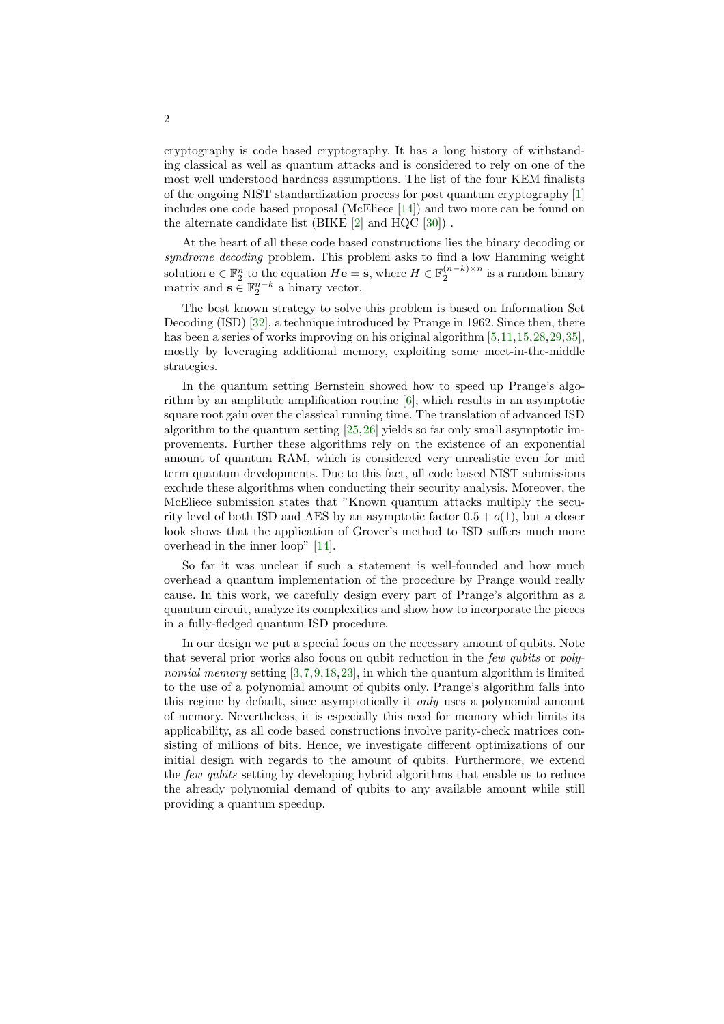cryptography is code based cryptography. It has a long history of withstanding classical as well as quantum attacks and is considered to rely on one of the most well understood hardness assumptions. The list of the four KEM finalists of the ongoing NIST standardization process for post quantum cryptography [\[1\]](#page-27-0) includes one code based proposal (McEliece [\[14\]](#page-28-0)) and two more can be found on the alternate candidate list (BIKE [\[2\]](#page-28-1) and HQC [\[30\]](#page-29-0)) .

At the heart of all these code based constructions lies the binary decoding or syndrome decoding problem. This problem asks to find a low Hamming weight solution  $\mathbf{e} \in \mathbb{F}_2^n$  to the equation  $H\mathbf{e} = \mathbf{s}$ , where  $H \in \mathbb{F}_2^{(n-k)\times n}$  is a random binary matrix and  $\mathbf{s} \in \mathbb{F}_2^{n-k}$  a binary vector.

The best known strategy to solve this problem is based on Information Set Decoding (ISD) [\[32\]](#page-29-1), a technique introduced by Prange in 1962. Since then, there has been a series of works improving on his original algorithm [\[5,](#page-28-2)[11,](#page-28-3)[15,](#page-28-4)[28,](#page-29-2)[29,](#page-29-3)[35\]](#page-29-4), mostly by leveraging additional memory, exploiting some meet-in-the-middle strategies.

In the quantum setting Bernstein showed how to speed up Prange's algorithm by an amplitude amplification routine [\[6\]](#page-28-5), which results in an asymptotic square root gain over the classical running time. The translation of advanced ISD algorithm to the quantum setting [\[25,](#page-29-5)[26\]](#page-29-6) yields so far only small asymptotic improvements. Further these algorithms rely on the existence of an exponential amount of quantum RAM, which is considered very unrealistic even for mid term quantum developments. Due to this fact, all code based NIST submissions exclude these algorithms when conducting their security analysis. Moreover, the McEliece submission states that "Known quantum attacks multiply the security level of both ISD and AES by an asymptotic factor  $0.5 + o(1)$ , but a closer look shows that the application of Grover's method to ISD suffers much more overhead in the inner loop" [\[14\]](#page-28-0).

So far it was unclear if such a statement is well-founded and how much overhead a quantum implementation of the procedure by Prange would really cause. In this work, we carefully design every part of Prange's algorithm as a quantum circuit, analyze its complexities and show how to incorporate the pieces in a fully-fledged quantum ISD procedure.

In our design we put a special focus on the necessary amount of qubits. Note that several prior works also focus on qubit reduction in the few qubits or poly-nomial memory setting [\[3,](#page-28-6)[7,](#page-28-7)[9,](#page-28-8)[18,](#page-29-7)[23\]](#page-29-8), in which the quantum algorithm is limited to the use of a polynomial amount of qubits only. Prange's algorithm falls into this regime by default, since asymptotically it only uses a polynomial amount of memory. Nevertheless, it is especially this need for memory which limits its applicability, as all code based constructions involve parity-check matrices consisting of millions of bits. Hence, we investigate different optimizations of our initial design with regards to the amount of qubits. Furthermore, we extend the *few qubits* setting by developing hybrid algorithms that enable us to reduce the already polynomial demand of qubits to any available amount while still providing a quantum speedup.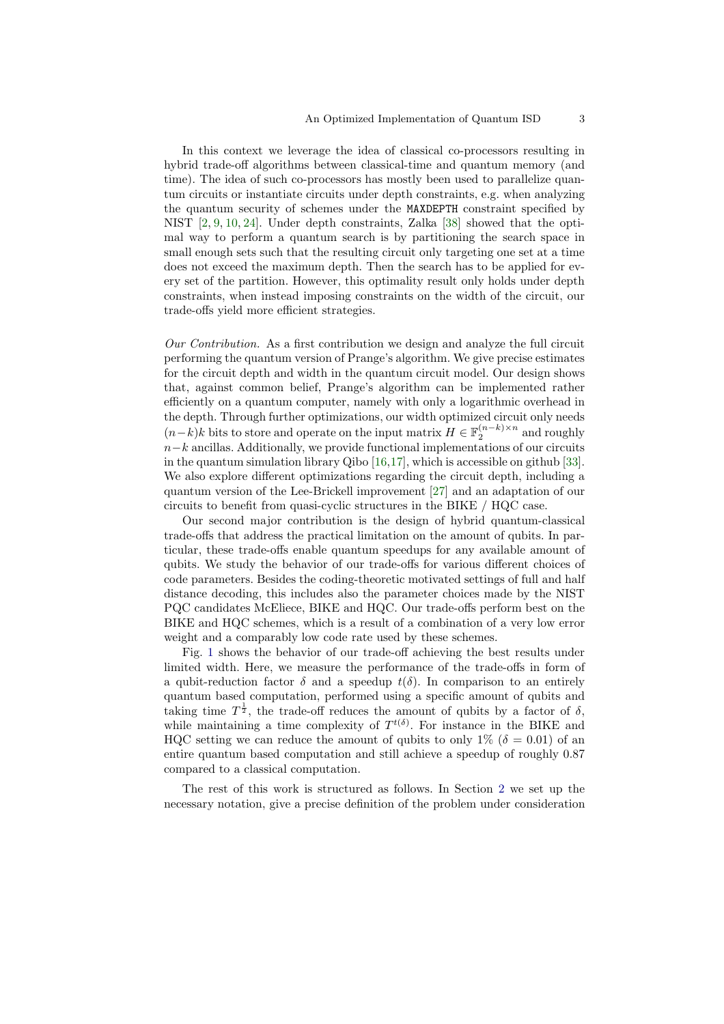In this context we leverage the idea of classical co-processors resulting in hybrid trade-off algorithms between classical-time and quantum memory (and time). The idea of such co-processors has mostly been used to parallelize quantum circuits or instantiate circuits under depth constraints, e.g. when analyzing the quantum security of schemes under the MAXDEPTH constraint specified by NIST [\[2,](#page-28-1) [9,](#page-28-8) [10,](#page-28-9) [24\]](#page-29-9). Under depth constraints, Zalka [\[38\]](#page-29-10) showed that the optimal way to perform a quantum search is by partitioning the search space in small enough sets such that the resulting circuit only targeting one set at a time does not exceed the maximum depth. Then the search has to be applied for every set of the partition. However, this optimality result only holds under depth constraints, when instead imposing constraints on the width of the circuit, our trade-offs yield more efficient strategies.

Our Contribution. As a first contribution we design and analyze the full circuit performing the quantum version of Prange's algorithm. We give precise estimates for the circuit depth and width in the quantum circuit model. Our design shows that, against common belief, Prange's algorithm can be implemented rather efficiently on a quantum computer, namely with only a logarithmic overhead in the depth. Through further optimizations, our width optimized circuit only needs  $(n-k)k$  bits to store and operate on the input matrix  $H \in \mathbb{F}_2^{(n-k)\times n}$  and roughly  $n-k$  ancillas. Additionally, we provide functional implementations of our circuits in the quantum simulation library Qibo [\[16,](#page-28-10)[17\]](#page-28-11), which is accessible on github [\[33\]](#page-29-11). We also explore different optimizations regarding the circuit depth, including a quantum version of the Lee-Brickell improvement [\[27\]](#page-29-12) and an adaptation of our circuits to benefit from quasi-cyclic structures in the BIKE / HQC case.

Our second major contribution is the design of hybrid quantum-classical trade-offs that address the practical limitation on the amount of qubits. In particular, these trade-offs enable quantum speedups for any available amount of qubits. We study the behavior of our trade-offs for various different choices of code parameters. Besides the coding-theoretic motivated settings of full and half distance decoding, this includes also the parameter choices made by the NIST PQC candidates McEliece, BIKE and HQC. Our trade-offs perform best on the BIKE and HQC schemes, which is a result of a combination of a very low error weight and a comparably low code rate used by these schemes.

Fig. [1](#page-3-0) shows the behavior of our trade-off achieving the best results under limited width. Here, we measure the performance of the trade-offs in form of a qubit-reduction factor  $\delta$  and a speedup  $t(\delta)$ . In comparison to an entirely quantum based computation, performed using a specific amount of qubits and taking time  $T^{\frac{1}{2}}$ , the trade-off reduces the amount of qubits by a factor of  $\delta$ , while maintaining a time complexity of  $T^{t(\delta)}$ . For instance in the BIKE and HQC setting we can reduce the amount of qubits to only  $1\%$  ( $\delta = 0.01$ ) of an entire quantum based computation and still achieve a speedup of roughly 0.87 compared to a classical computation.

The rest of this work is structured as follows. In Section [2](#page-3-1) we set up the necessary notation, give a precise definition of the problem under consideration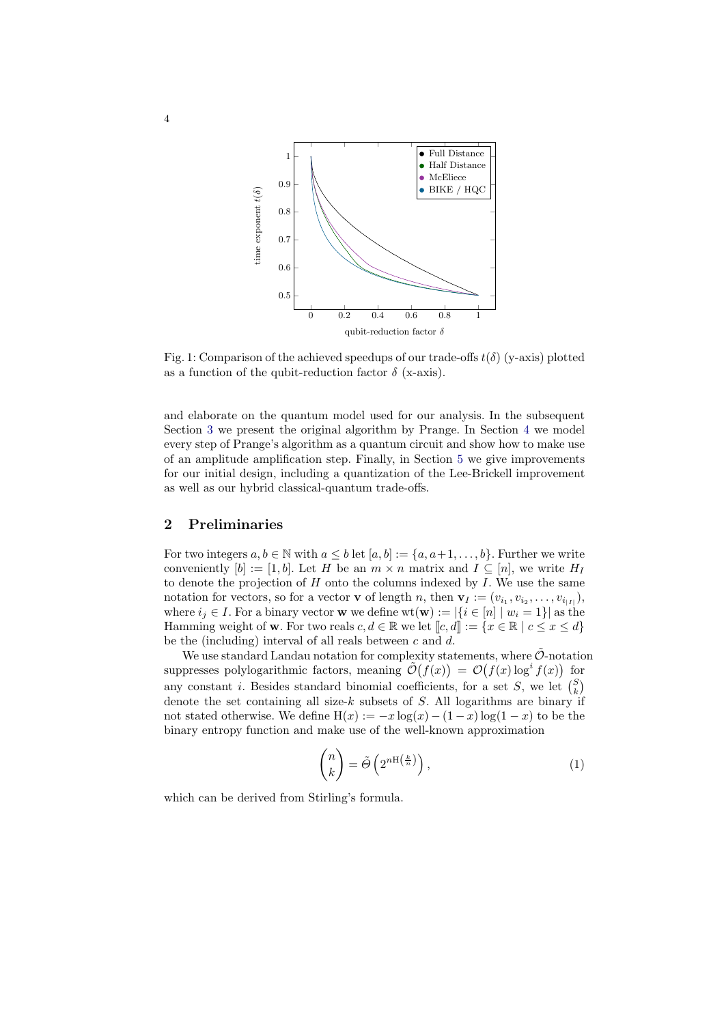<span id="page-3-0"></span>

Fig. 1: Comparison of the achieved speedups of our trade-offs  $t(\delta)$  (y-axis) plotted as a function of the qubit-reduction factor  $\delta$  (x-axis).

and elaborate on the quantum model used for our analysis. In the subsequent Section [3](#page-4-0) we present the original algorithm by Prange. In Section [4](#page-5-0) we model every step of Prange's algorithm as a quantum circuit and show how to make use of an amplitude amplification step. Finally, in Section [5](#page-11-0) we give improvements for our initial design, including a quantization of the Lee-Brickell improvement as well as our hybrid classical-quantum trade-offs.

# <span id="page-3-1"></span>2 Preliminaries

For two integers  $a, b \in \mathbb{N}$  with  $a \leq b$  let  $[a, b] := \{a, a+1, \ldots, b\}$ . Further we write conveniently  $[b] := [1, b]$ . Let H be an  $m \times n$  matrix and  $I \subseteq [n]$ , we write  $H_I$ to denote the projection of  $H$  onto the columns indexed by  $I$ . We use the same notation for vectors, so for a vector **v** of length n, then  $\mathbf{v}_I := (v_{i_1}, v_{i_2}, \dots, v_{i_{|I|}})$ , where  $i_j \in I$ . For a binary vector **w** we define  $wt(\mathbf{w}) := |\{i \in [n] \mid w_i = 1\}|$  as the Hamming weight of **w**. For two reals  $c, d \in \mathbb{R}$  we let  $\llbracket c, d \rrbracket := \{x \in \mathbb{R} \mid c \leq x \leq d\}$ be the (including) interval of all reals between  $c$  and  $d$ .

We use standard Landau notation for complexity statements, where  $\tilde{\mathcal{O}}$ -notation suppresses polylogarithmic factors, meaning  $\tilde{\mathcal{O}}(f(x)) = \mathcal{O}(f(x) \log^i f(x))$  for any constant *i*. Besides standard binomial coefficients, for a set S, we let  $\binom{S}{k}$ denote the set containing all size-k subsets of S. All logarithms are binary if not stated otherwise. We define  $H(x) := -x \log(x) - (1-x) \log(1-x)$  to be the binary entropy function and make use of the well-known approximation

<span id="page-3-2"></span>
$$
\binom{n}{k} = \tilde{\Theta}\left(2^{n\mathrm{H}\left(\frac{k}{n}\right)}\right),\tag{1}
$$

which can be derived from Stirling's formula.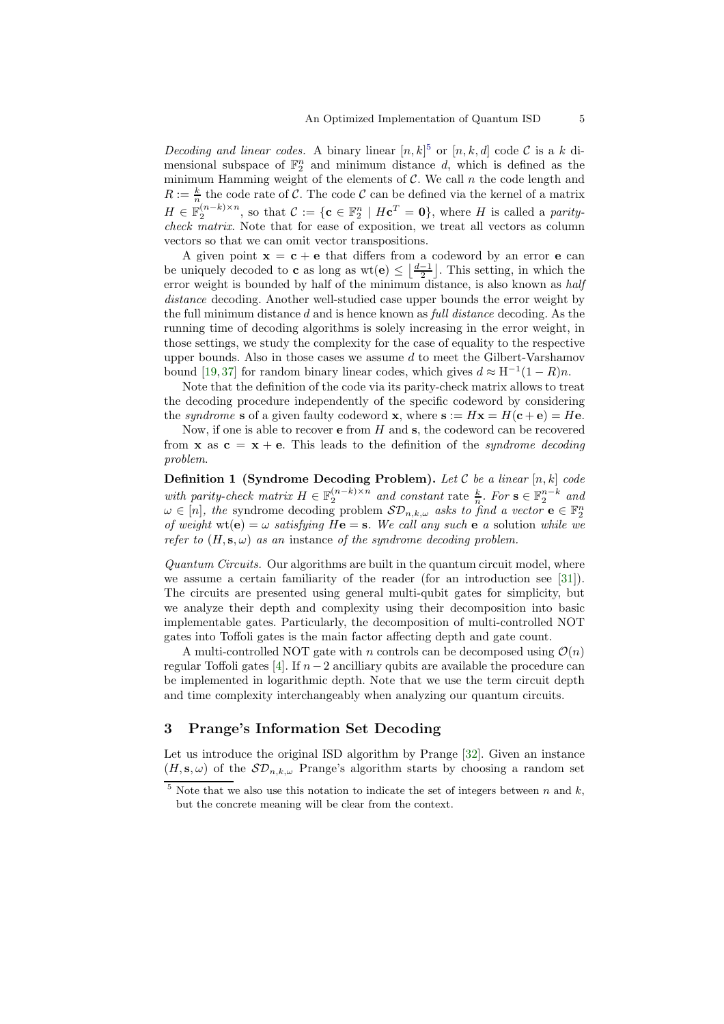Decoding and linear codes. A binary linear  $[n, k]^5$  $[n, k]^5$  or  $[n, k, d]$  code C is a k dimensional subspace of  $\mathbb{F}_2^n$  and minimum distance d, which is defined as the minimum Hamming weight of the elements of  $C$ . We call  $n$  the code length and  $R := \frac{k}{n}$  the code rate of C. The code C can be defined via the kernel of a matrix  $H \in \mathbb{F}_2^{(n-k)\times n}$ , so that  $\mathcal{C} := \{ \mathbf{c} \in \mathbb{F}_2^n \mid H\mathbf{c}^T = \mathbf{0} \}$ , where H is called a paritycheck matrix. Note that for ease of exposition, we treat all vectors as column vectors so that we can omit vector transpositions.

A given point  $x = c + e$  that differs from a codeword by an error e can be uniquely decoded to **c** as long as  $wt(e) \leq \left\lfloor \frac{d-1}{2} \right\rfloor$ . This setting, in which the error weight is bounded by half of the minimum distance, is also known as half distance decoding. Another well-studied case upper bounds the error weight by the full minimum distance d and is hence known as full distance decoding. As the running time of decoding algorithms is solely increasing in the error weight, in those settings, we study the complexity for the case of equality to the respective upper bounds. Also in those cases we assume  $d$  to meet the Gilbert-Varshamov bound [\[19,](#page-29-13)[37\]](#page-29-14) for random binary linear codes, which gives  $d \approx H^{-1}(1 - R)n$ .

Note that the definition of the code via its parity-check matrix allows to treat the decoding procedure independently of the specific codeword by considering the syndrome s of a given faulty codeword x, where  $s := Hx = H(c + e) = He$ .

Now, if one is able to recover  $\bf{e}$  from  $H$  and  $\bf{s}$ , the codeword can be recovered from **x** as  $c = x + e$ . This leads to the definition of the *syndrome decoding* problem.

**Definition 1 (Syndrome Decoding Problem).** Let  $\mathcal C$  be a linear  $[n, k]$  code with parity-check matrix  $H \in \mathbb{F}_2^{(n-k)\times n}$  and constant rate  $\frac{k}{n}$ . For  $s \in \mathbb{F}_2^{n-k}$  and  $\omega \in [n]$ , the syndrome decoding problem  $SD_{n,k,\omega}$  asks to find a vector  $\mathbf{e} \in \mathbb{F}_2^n$ of weight  $wt(e) = \omega$  satisfying  $He = s$ . We call any such e a solution while we refer to  $(H, s, \omega)$  as an instance of the syndrome decoding problem.

Quantum Circuits. Our algorithms are built in the quantum circuit model, where we assume a certain familiarity of the reader (for an introduction see [\[31\]](#page-29-15)). The circuits are presented using general multi-qubit gates for simplicity, but we analyze their depth and complexity using their decomposition into basic implementable gates. Particularly, the decomposition of multi-controlled NOT gates into Toffoli gates is the main factor affecting depth and gate count.

A multi-controlled NOT gate with n controls can be decomposed using  $\mathcal{O}(n)$ regular Toffoli gates [\[4\]](#page-28-12). If  $n-2$  ancilliary qubits are available the procedure can be implemented in logarithmic depth. Note that we use the term circuit depth and time complexity interchangeably when analyzing our quantum circuits.

# <span id="page-4-0"></span>3 Prange's Information Set Decoding

Let us introduce the original ISD algorithm by Prange [\[32\]](#page-29-1). Given an instance  $(H, s, \omega)$  of the  $S\mathcal{D}_{n,k,\omega}$  Prange's algorithm starts by choosing a random set

<span id="page-4-1"></span> $5$  Note that we also use this notation to indicate the set of integers between n and  $k$ , but the concrete meaning will be clear from the context.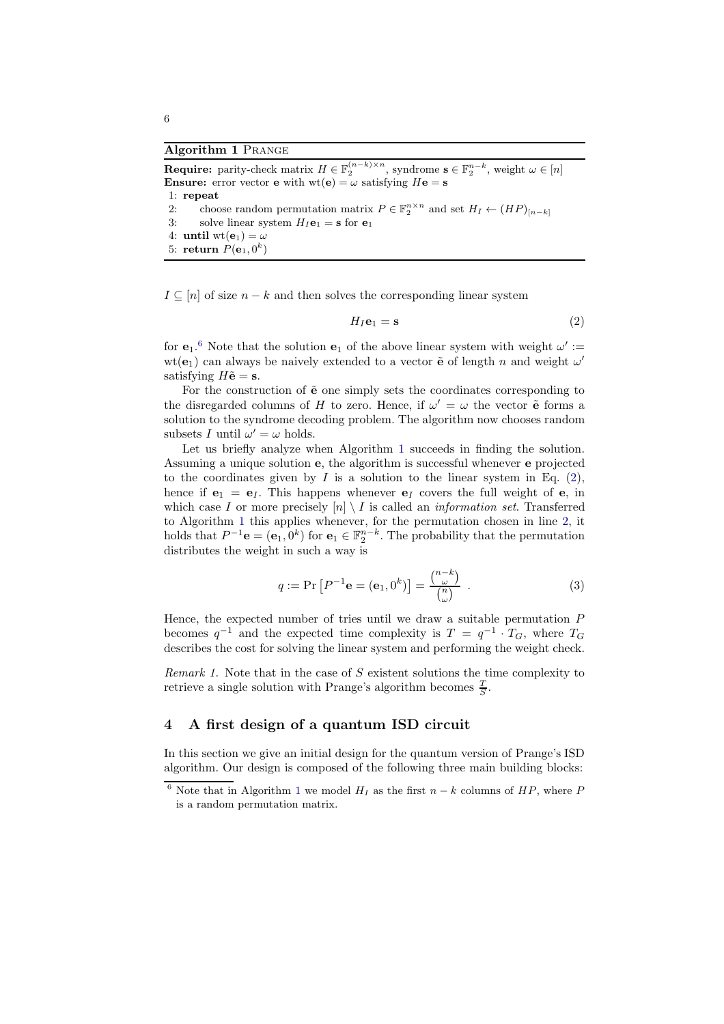#### <span id="page-5-2"></span>Algorithm 1 Prange

**Require:** parity-check matrix  $H \in \mathbb{F}_2^{(n-k)\times n}$ , syndrome  $s \in \mathbb{F}_2^{n-k}$ , weight  $\omega \in [n]$ **Ensure:** error vector **e** with  $wt(e) = \omega$  satisfying  $He = s$ 1: repeat 2: choose random permutation matrix  $P \in \mathbb{F}_2^{n \times n}$  and set  $H_I \leftarrow (HP)_{[n-k]}$ 3: solve linear system  $H_I$ **e**<sub>1</sub> = **s** for **e**<sub>1</sub> 4: until wt( $\mathbf{e}_1$ ) =  $\omega$ 

 $5:$  return  $P(\mathbf{e}_1, 0^k)$ 

 $I \subseteq [n]$  of size  $n - k$  and then solves the corresponding linear system

<span id="page-5-3"></span>
$$
H_I \mathbf{e}_1 = \mathbf{s} \tag{2}
$$

for  $e_1$ <sup>[6](#page-5-1)</sup>. Note that the solution  $e_1$  of the above linear system with weight  $\omega' :=$  $wt(e_1)$  can always be naively extended to a vector  $\tilde{e}$  of length n and weight  $\omega'$ satisfying  $H\tilde{\mathbf{e}} = \mathbf{s}$ .

For the construction of  $\tilde{e}$  one simply sets the coordinates corresponding to the disregarded columns of H to zero. Hence, if  $\omega' = \omega$  the vector  $\tilde{e}$  forms a solution to the syndrome decoding problem. The algorithm now chooses random subsets I until  $\omega' = \omega$  holds.

Let us briefly analyze when Algorithm [1](#page-5-2) succeeds in finding the solution. Assuming a unique solution e, the algorithm is successful whenever e projected to the coordinates given by  $I$  is a solution to the linear system in Eq. [\(2\)](#page-5-3), hence if  $e_1 = e_I$ . This happens whenever  $e_I$  covers the full weight of e, in which case I or more precisely  $[n] \setminus I$  is called an *information set*. Transferred to Algorithm [1](#page-5-2) this applies whenever, for the permutation chosen in line [2,](#page-5-3) it holds that  $P^{-1}\mathbf{e} = (\mathbf{e}_1, 0^k)$  for  $\mathbf{e}_1 \in \mathbb{F}_2^{n-k}$ . The probability that the permutation distributes the weight in such a way is

<span id="page-5-4"></span>
$$
q := \Pr\left[P^{-1}\mathbf{e} = (\mathbf{e}_1, 0^k)\right] = \frac{\binom{n-k}{\omega}}{\binom{n}{\omega}} \tag{3}
$$

Hence, the expected number of tries until we draw a suitable permutation  $P$ becomes  $q^{-1}$  and the expected time complexity is  $T = q^{-1} \cdot T_G$ , where  $T_G$ describes the cost for solving the linear system and performing the weight check.

<span id="page-5-5"></span>Remark 1. Note that in the case of S existent solutions the time complexity to retrieve a single solution with Prange's algorithm becomes  $\frac{T}{S}$ .

## <span id="page-5-0"></span>4 A first design of a quantum ISD circuit

In this section we give an initial design for the quantum version of Prange's ISD algorithm. Our design is composed of the following three main building blocks:

<span id="page-5-1"></span><sup>&</sup>lt;sup>6</sup> Note that in Algorithm [1](#page-5-2) we model  $H_I$  as the first  $n - k$  columns of  $HP$ , where P is a random permutation matrix.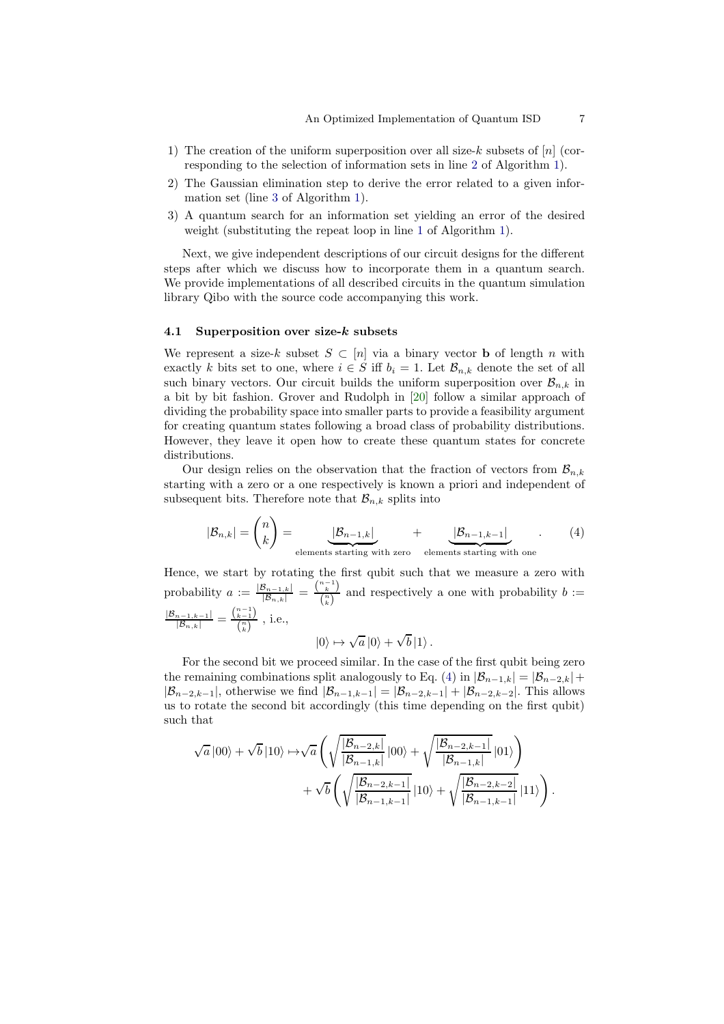- 1) The creation of the uniform superposition over all size-k subsets of [n] (corresponding to the selection of information sets in line [2](#page-5-3) of Algorithm [1\)](#page-5-2).
- 2) The Gaussian elimination step to derive the error related to a given information set (line [3](#page-5-3) of Algorithm [1\)](#page-5-2).
- 3) A quantum search for an information set yielding an error of the desired weight (substituting the repeat loop in line [1](#page-5-3) of Algorithm [1\)](#page-5-2).

Next, we give independent descriptions of our circuit designs for the different steps after which we discuss how to incorporate them in a quantum search. We provide implementations of all described circuits in the quantum simulation library Qibo with the source code accompanying this work.

#### 4.1 Superposition over size- $k$  subsets

We represent a size-k subset  $S \subset [n]$  via a binary vector **b** of length n with exactly k bits set to one, where  $i \in S$  iff  $b_i = 1$ . Let  $\mathcal{B}_{n,k}$  denote the set of all such binary vectors. Our circuit builds the uniform superposition over  $\mathcal{B}_{n,k}$  in a bit by bit fashion. Grover and Rudolph in [\[20\]](#page-29-16) follow a similar approach of dividing the probability space into smaller parts to provide a feasibility argument for creating quantum states following a broad class of probability distributions. However, they leave it open how to create these quantum states for concrete distributions.

Our design relies on the observation that the fraction of vectors from  $\mathcal{B}_{n,k}$ starting with a zero or a one respectively is known a priori and independent of subsequent bits. Therefore note that  $\mathcal{B}_{n,k}$  splits into

$$
|\mathcal{B}_{n,k}| = \binom{n}{k} = \underbrace{|\mathcal{B}_{n-1,k}|}_{\text{elements starting with zero}} + \underbrace{|\mathcal{B}_{n-1,k-1}|}_{\text{elements starting with one}}.
$$
 (4)

Hence, we start by rotating the first qubit such that we measure a zero with probability  $a := \frac{|\mathcal{B}_{n-1,k}|}{|\mathcal{B}_{n,k}|} = \frac{\binom{n-1}{k}}{\binom{n}{k}}$  $\frac{k}{\binom{n}{k}}$  and respectively a one with probability  $b :=$  $\frac{|\mathcal{B}_{n-1,k-1}|}{|\mathcal{B}_{n,k}|} = \frac{{n-1 \choose k-1}}{{n \choose k}}$  $\frac{\binom{k-1}{k}}{\binom{n}{k}}$ , i.e., √

<span id="page-6-0"></span>
$$
\left| 0 \right\rangle \mapsto \sqrt{a} \left| 0 \right\rangle + \sqrt{b} \left| 1 \right\rangle.
$$

For the second bit we proceed similar. In the case of the first qubit being zero the remaining combinations split analogously to Eq. [\(4\)](#page-6-0) in  $|\mathcal{B}_{n-1,k}| = |\mathcal{B}_{n-2,k}| +$  $|\mathcal{B}_{n-2,k-1}|$ , otherwise we find  $|\mathcal{B}_{n-1,k-1}| = |\mathcal{B}_{n-2,k-1}| + |\mathcal{B}_{n-2,k-2}|$ . This allows us to rotate the second bit accordingly (this time depending on the first qubit) such that

$$
\sqrt{a} \left| 00 \right\rangle + \sqrt{b} \left| 10 \right\rangle \mapsto \sqrt{a} \left( \sqrt{\frac{|\mathcal{B}_{n-2,k}|}{|\mathcal{B}_{n-1,k}|}} \left| 00 \right\rangle + \sqrt{\frac{|\mathcal{B}_{n-2,k-1}|}{|\mathcal{B}_{n-1,k}|}} \left| 01 \right\rangle \right) + \sqrt{b} \left( \sqrt{\frac{|\mathcal{B}_{n-2,k-1}|}{|\mathcal{B}_{n-1,k-1}|}} \left| 10 \right\rangle + \sqrt{\frac{|\mathcal{B}_{n-2,k-2}|}{|\mathcal{B}_{n-1,k-1}|}} \left| 11 \right\rangle \right).
$$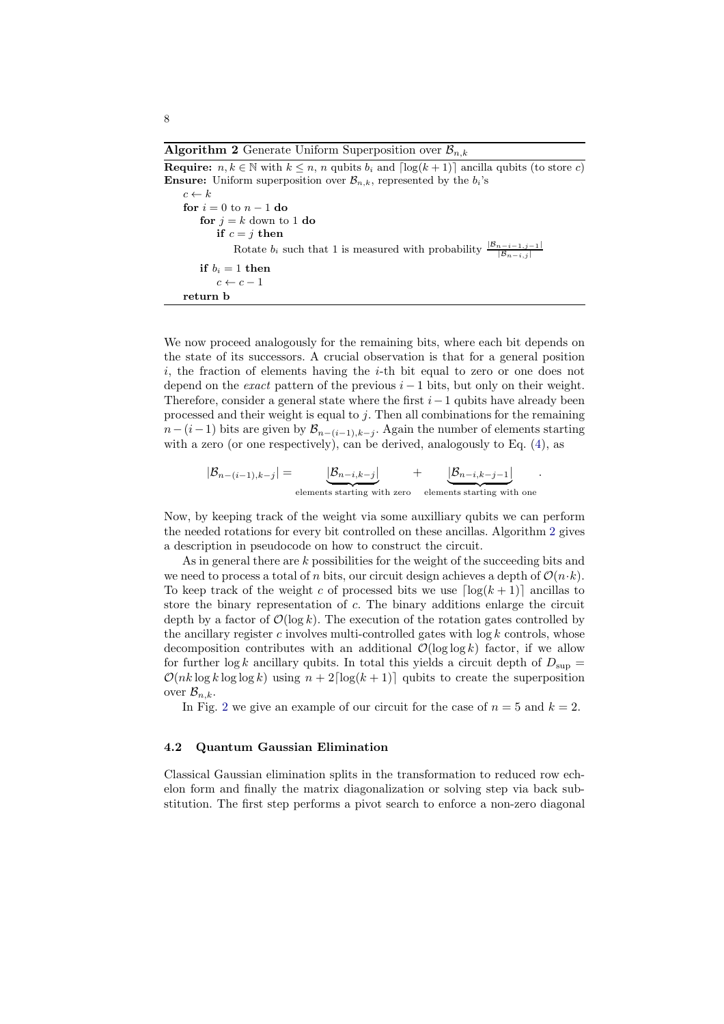<span id="page-7-0"></span>**Algorithm 2** Generate Uniform Superposition over  $\mathcal{B}_{n,k}$ 

**Require:**  $n, k \in \mathbb{N}$  with  $k \leq n$ , n qubits  $b_i$  and  $\lceil \log(k+1) \rceil$  ancilla qubits (to store c) **Ensure:** Uniform superposition over  $\mathcal{B}_{n,k}$ , represented by the  $b_i$ 's  $c \leftarrow k$ for  $i = 0$  to  $n - 1$  do for  $j = k$  down to 1 do if  $c = j$  then Rotate  $b_i$  such that 1 is measured with probability  $\frac{|B_{n-i-1,j-1}|}{|B_{n-i,j}|}$ if  $b_i = 1$  then  $c \leftarrow c - 1$ return b

We now proceed analogously for the remaining bits, where each bit depends on the state of its successors. A crucial observation is that for a general position  $i$ , the fraction of elements having the  $i$ -th bit equal to zero or one does not depend on the *exact* pattern of the previous  $i - 1$  bits, but only on their weight. Therefore, consider a general state where the first  $i-1$  qubits have already been processed and their weight is equal to  $j$ . Then all combinations for the remaining  $n-(i-1)$  bits are given by  $\mathcal{B}_{n-(i-1),k-j}$ . Again the number of elements starting with a zero (or one respectively), can be derived, analogously to Eq. [\(4\)](#page-6-0), as

$$
|\mathcal{B}_{n-(i-1),k-j}| = \underbrace{|\mathcal{B}_{n-i,k-j}|}_{\text{elements starting with zero}} + \underbrace{|\mathcal{B}_{n-i,k-j-1}|}_{\text{elements starting with one}}
$$

.

Now, by keeping track of the weight via some auxilliary qubits we can perform the needed rotations for every bit controlled on these ancillas. Algorithm [2](#page-7-0) gives a description in pseudocode on how to construct the circuit.

As in general there are k possibilities for the weight of the succeeding bits and we need to process a total of n bits, our circuit design achieves a depth of  $\mathcal{O}(n \cdot k)$ . To keep track of the weight c of processed bits we use  $\lceil \log(k+1) \rceil$  ancillas to store the binary representation of c. The binary additions enlarge the circuit depth by a factor of  $\mathcal{O}(\log k)$ . The execution of the rotation gates controlled by the ancillary register c involves multi-controlled gates with  $\log k$  controls, whose decomposition contributes with an additional  $\mathcal{O}(\log \log k)$  factor, if we allow for further log k ancillary qubits. In total this yields a circuit depth of  $D_{\text{sup}} =$  $\mathcal{O}(nk \log k \log \log k)$  using  $n + 2\lceil \log(k+1) \rceil$  qubits to create the superposition over  $\mathcal{B}_{n,k}$ .

In Fig. [2](#page-8-0) we give an example of our circuit for the case of  $n = 5$  and  $k = 2$ .

#### <span id="page-7-1"></span>4.2 Quantum Gaussian Elimination

Classical Gaussian elimination splits in the transformation to reduced row echelon form and finally the matrix diagonalization or solving step via back substitution. The first step performs a pivot search to enforce a non-zero diagonal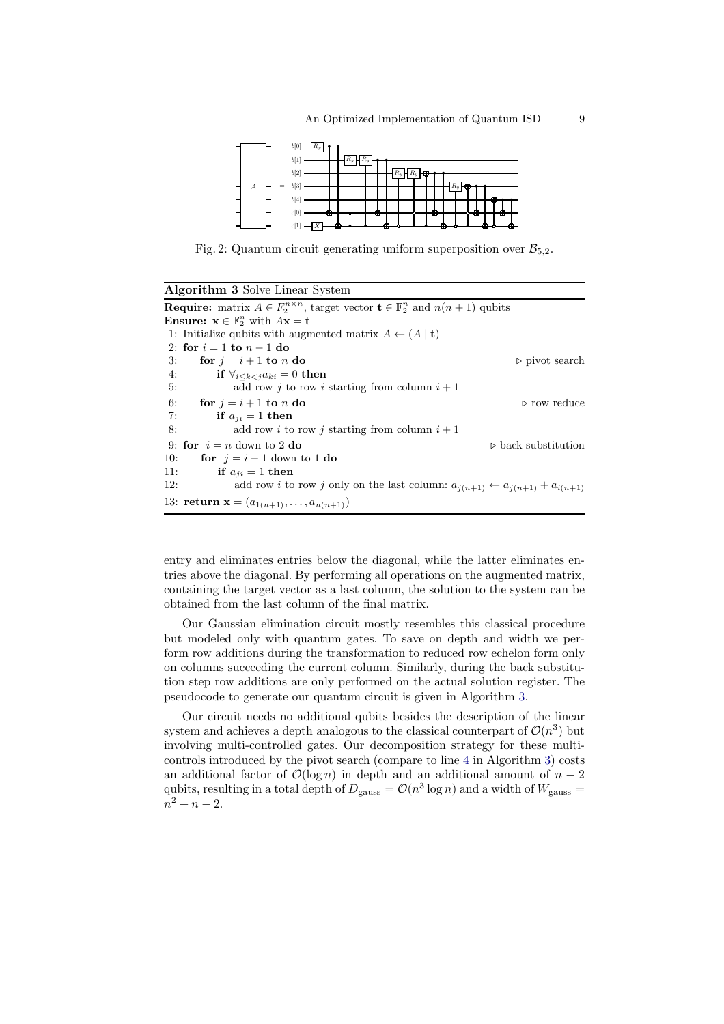<span id="page-8-0"></span>

Fig. 2: Quantum circuit generating uniform superposition over  $\mathcal{B}_{5,2}$ .

<span id="page-8-1"></span>

| <b>Algorithm 3</b> Solve Linear System                                                                              |                                    |  |  |
|---------------------------------------------------------------------------------------------------------------------|------------------------------------|--|--|
| <b>Require:</b> matrix $A \in F_2^{n \times n}$ , target vector $\mathbf{t} \in \mathbb{F}_2^n$ and $n(n+1)$ qubits |                                    |  |  |
| <b>Ensure:</b> $x \in \mathbb{F}_2^n$ with $Ax = t$                                                                 |                                    |  |  |
| 1: Initialize qubits with augmented matrix $A \leftarrow (A   t)$                                                   |                                    |  |  |
| 2: for $i=1$ to $n-1$ do                                                                                            |                                    |  |  |
| for $i = i + 1$ to n do<br>3:                                                                                       | $\triangleright$ pivot search      |  |  |
| if $\forall_{i \leq k \leq i} a_{ki} = 0$ then<br>4:                                                                |                                    |  |  |
| add row <i>i</i> to row <i>i</i> starting from column $i + 1$<br>5:                                                 |                                    |  |  |
| 6:<br>for $i = i + 1$ to n do                                                                                       | $\triangleright$ row reduce        |  |  |
| if $a_{ii} = 1$ then<br>7:                                                                                          |                                    |  |  |
| 8:<br>add row i to row j starting from column $i+1$                                                                 |                                    |  |  |
| 9: for $i = n$ down to 2 do                                                                                         | $\triangleright$ back substitution |  |  |
| for $i = i - 1$ down to 1 do<br>10:                                                                                 |                                    |  |  |
| 11:<br>if $a_{ii} = 1$ then                                                                                         |                                    |  |  |
| 12:<br>add row <i>i</i> to row <i>j</i> only on the last column: $a_{j(n+1)} \leftarrow a_{j(n+1)} + a_{i(n+1)}$    |                                    |  |  |
| 13: <b>return</b> $\mathbf{x} = (a_{1(n+1)}, \ldots, a_{n(n+1)})$                                                   |                                    |  |  |

entry and eliminates entries below the diagonal, while the latter eliminates entries above the diagonal. By performing all operations on the augmented matrix, containing the target vector as a last column, the solution to the system can be obtained from the last column of the final matrix.

Our Gaussian elimination circuit mostly resembles this classical procedure but modeled only with quantum gates. To save on depth and width we perform row additions during the transformation to reduced row echelon form only on columns succeeding the current column. Similarly, during the back substitution step row additions are only performed on the actual solution register. The pseudocode to generate our quantum circuit is given in Algorithm [3.](#page-8-1)

Our circuit needs no additional qubits besides the description of the linear system and achieves a depth analogous to the classical counterpart of  $\mathcal{O}(n^3)$  but involving multi-controlled gates. Our decomposition strategy for these multicontrols introduced by the pivot search (compare to line [4](#page-7-1) in Algorithm [3\)](#page-8-1) costs an additional factor of  $\mathcal{O}(\log n)$  in depth and an additional amount of  $n-2$ qubits, resulting in a total depth of  $D_{\text{gauss}} = \mathcal{O}(n^3 \log n)$  and a width of  $W_{\text{gauss}} =$  $n^2 + n - 2.$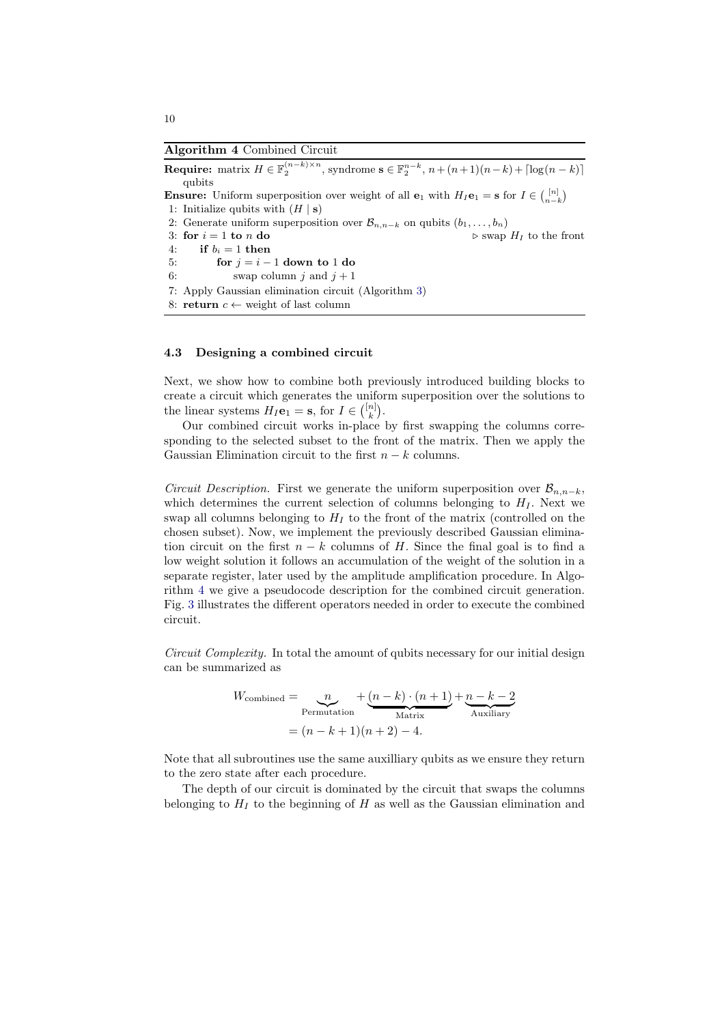<span id="page-9-0"></span>Algorithm 4 Combined Circuit

**Require:** matrix  $H \in \mathbb{F}_2^{(n-k)\times n}$ , syndrome  $\mathbf{s} \in \mathbb{F}_2^{n-k}$ ,  $n + (n+1)(n-k) + \lceil \log(n-k) \rceil$ qubits **Ensure:** Uniform superposition over weight of all  $\mathbf{e}_1$  with  $H_I \mathbf{e}_1 = \mathbf{s}$  for  $I \in \binom{[n]}{n-k}$ 1: Initialize qubits with  $(H | s)$ 2: Generate uniform superposition over  $\mathcal{B}_{n,n-k}$  on qubits  $(b_1, \ldots, b_n)$ <br>3: **for**  $i = 1$  **to** *n* **do**  $\triangleright$  swap  $H_I$  to the front 4: if  $b_i = 1$  then 5: **for**  $j = i - 1$  **down to 1 do**<br>6: **swap column i** and  $i + 1$ swap column j and  $j + 1$ 7: Apply Gaussian elimination circuit (Algorithm [3\)](#page-8-1) 8: return  $c \leftarrow$  weight of last column

### 4.3 Designing a combined circuit

Next, we show how to combine both previously introduced building blocks to create a circuit which generates the uniform superposition over the solutions to the linear systems  $H_I \mathbf{e}_1 = \mathbf{s}$ , for  $I \in \binom{[n]}{k}$ .

Our combined circuit works in-place by first swapping the columns corresponding to the selected subset to the front of the matrix. Then we apply the Gaussian Elimination circuit to the first  $n - k$  columns.

*Circuit Description.* First we generate the uniform superposition over  $\mathcal{B}_{n,n-k}$ , which determines the current selection of columns belonging to  $H_I$ . Next we swap all columns belonging to  $H_I$  to the front of the matrix (controlled on the chosen subset). Now, we implement the previously described Gaussian elimination circuit on the first  $n - k$  columns of H. Since the final goal is to find a low weight solution it follows an accumulation of the weight of the solution in a separate register, later used by the amplitude amplification procedure. In Algorithm [4](#page-9-0) we give a pseudocode description for the combined circuit generation. Fig. [3](#page-10-0) illustrates the different operators needed in order to execute the combined circuit.

Circuit Complexity. In total the amount of qubits necessary for our initial design can be summarized as

$$
W_{\text{combined}} = \underbrace{n}_{\text{Permutation}} + \underbrace{(n-k) \cdot (n+1)}_{\text{Matrix}} + \underbrace{n-k-2}_{\text{Auxiliary}}
$$

$$
= (n-k+1)(n+2) - 4.
$$

Note that all subroutines use the same auxilliary qubits as we ensure they return to the zero state after each procedure.

The depth of our circuit is dominated by the circuit that swaps the columns belonging to  $H_I$  to the beginning of H as well as the Gaussian elimination and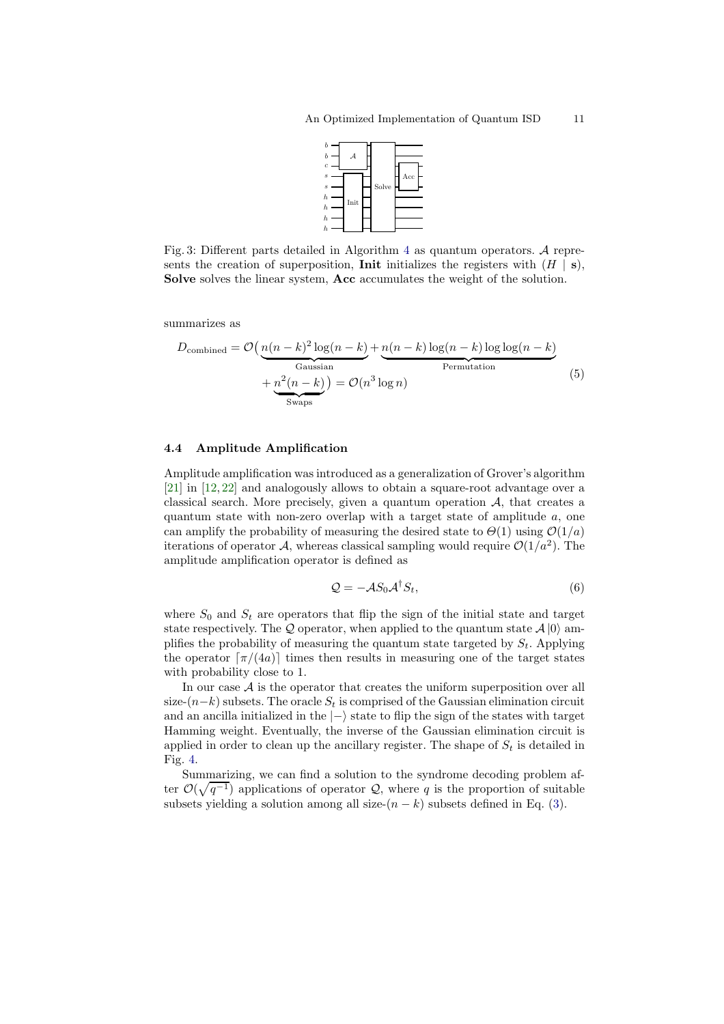

<span id="page-10-0"></span>Fig. 3: Different parts detailed in Algorithm [4](#page-9-0) as quantum operators. A represents the creation of superposition, **Init** initializes the registers with  $(H | s)$ , Solve solves the linear system, Acc accumulates the weight of the solution.

summarizes as

$$
D_{\text{combined}} = \mathcal{O}\left(\underbrace{n(n-k)^2 \log(n-k)}_{\text{Gaussian}} + \underbrace{n(n-k) \log(n-k)}_{\text{Permutation}}\right) + \underbrace{n^2(n-k)}_{\text{Swaps}} = \mathcal{O}(n^3 \log n)
$$
\n(5)

#### 4.4 Amplitude Amplification

Amplitude amplification was introduced as a generalization of Grover's algorithm [\[21\]](#page-29-17) in [\[12,](#page-28-13) [22\]](#page-29-18) and analogously allows to obtain a square-root advantage over a classical search. More precisely, given a quantum operation A, that creates a quantum state with non-zero overlap with a target state of amplitude  $a$ , one can amplify the probability of measuring the desired state to  $\Theta(1)$  using  $\mathcal{O}(1/a)$ iterations of operator A, whereas classical sampling would require  $\mathcal{O}(1/a^2)$ . The amplitude amplification operator is defined as

<span id="page-10-1"></span>
$$
Q = -\mathcal{A}S_0 \mathcal{A}^\dagger S_t,\tag{6}
$$

where  $S_0$  and  $S_t$  are operators that flip the sign of the initial state and target state respectively. The Q operator, when applied to the quantum state  $A |0\rangle$  amplifies the probability of measuring the quantum state targeted by  $S_t$ . Applying the operator  $\lceil \pi/(4a) \rceil$  times then results in measuring one of the target states with probability close to 1.

In our case  $A$  is the operator that creates the uniform superposition over all size- $(n-k)$  subsets. The oracle  $S_t$  is comprised of the Gaussian elimination circuit and an ancilla initialized in the  $\ket{-}$  state to flip the sign of the states with target Hamming weight. Eventually, the inverse of the Gaussian elimination circuit is applied in order to clean up the ancillary register. The shape of  $S_t$  is detailed in Fig. [4.](#page-11-1)

Summarizing, we can find a solution to the syndrome decoding problem after  $\mathcal{O}(\sqrt{q^{-1}})$  applications of operator  $\mathcal{Q}$ , where q is the proportion of suitable subsets yielding a solution among all size- $(n - k)$  subsets defined in Eq. [\(3\)](#page-5-4).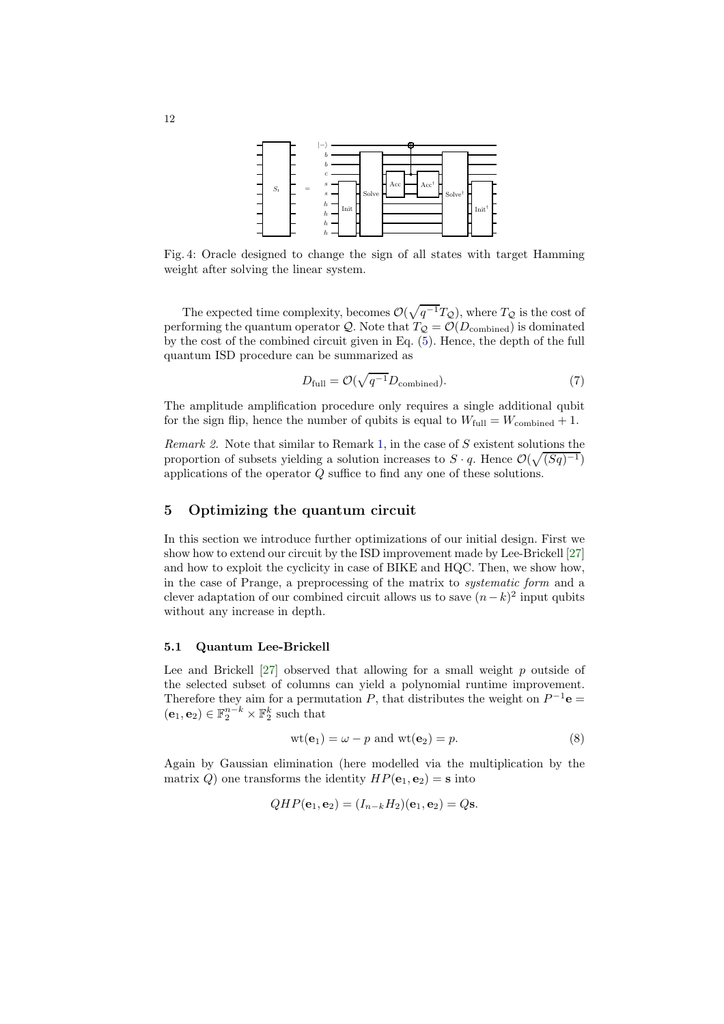<span id="page-11-1"></span>

Fig. 4: Oracle designed to change the sign of all states with target Hamming weight after solving the linear system.

The expected time complexity, becomes  $\mathcal{O}(\sqrt{q^{-1}T_Q})$ , where  $T_Q$  is the cost of performing the quantum operator Q. Note that  $T_{\mathcal{Q}} = \mathcal{O}(D_{\text{combined}})$  is dominated by the cost of the combined circuit given in Eq. [\(5\)](#page-10-1). Hence, the depth of the full quantum ISD procedure can be summarized as

<span id="page-11-5"></span>
$$
D_{\text{full}} = \mathcal{O}(\sqrt{q^{-1}} D_{\text{combined}}). \tag{7}
$$

<span id="page-11-3"></span>The amplitude amplification procedure only requires a single additional qubit for the sign flip, hence the number of qubits is equal to  $W_{\text{full}} = W_{\text{combined}} + 1$ .

Remark 2. Note that similar to Remark [1,](#page-5-5) in the case of  $S$  existent solutions the proportion of subsets yielding a solution increases to  $S \cdot q$ . Hence  $\mathcal{O}(\sqrt{(Sq)^{-1}})$ applications of the operator Q suffice to find any one of these solutions.

## <span id="page-11-0"></span>5 Optimizing the quantum circuit

In this section we introduce further optimizations of our initial design. First we show how to extend our circuit by the ISD improvement made by Lee-Brickell [\[27\]](#page-29-12) and how to exploit the cyclicity in case of BIKE and HQC. Then, we show how, in the case of Prange, a preprocessing of the matrix to systematic form and a clever adaptation of our combined circuit allows us to save  $(n-k)^2$  input qubits without any increase in depth.

#### <span id="page-11-4"></span>5.1 Quantum Lee-Brickell

Lee and Brickell  $[27]$  observed that allowing for a small weight  $p$  outside of the selected subset of columns can yield a polynomial runtime improvement. Therefore they aim for a permutation P, that distributes the weight on  $P^{-1}$ **e** =  $(\mathbf{e}_1, \mathbf{e}_2) \in \mathbb{F}_2^{n-k} \times \mathbb{F}_2^k$  such that

<span id="page-11-2"></span>
$$
wt(\mathbf{e}_1) = \omega - p \text{ and } wt(\mathbf{e}_2) = p. \tag{8}
$$

Again by Gaussian elimination (here modelled via the multiplication by the matrix Q) one transforms the identity  $HP(\mathbf{e}_1, \mathbf{e}_2) = \mathbf{s}$  into

$$
QHP(e_1, e_2) = (I_{n-k}H_2)(e_1, e_2) = Qs.
$$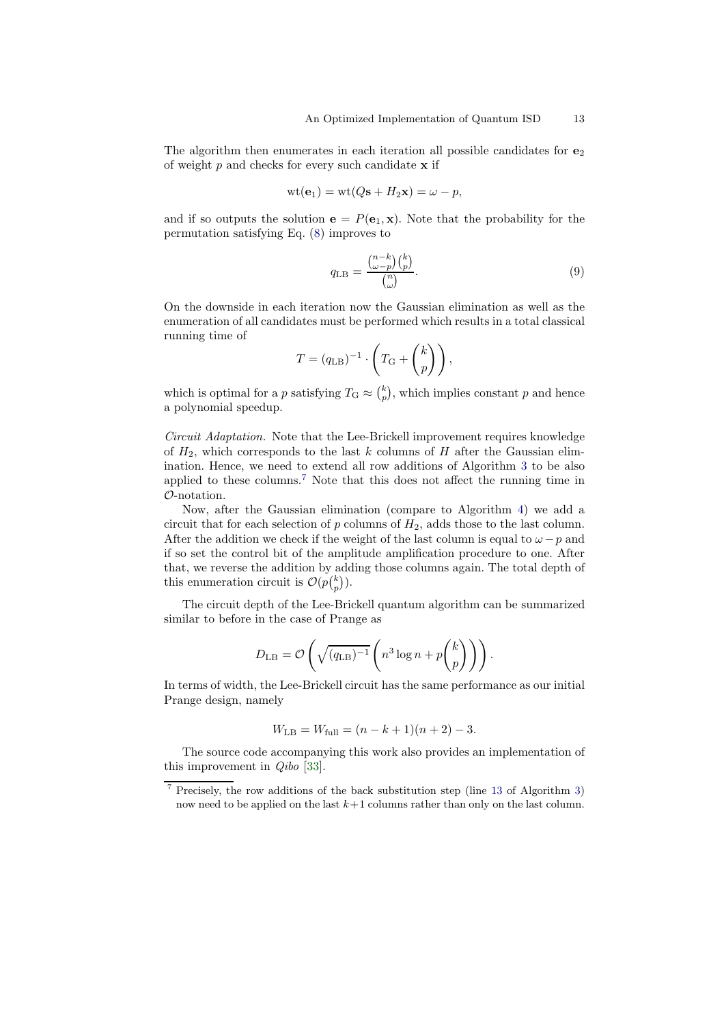The algorithm then enumerates in each iteration all possible candidates for  $e_2$ of weight  $p$  and checks for every such candidate  $x$  if

$$
wt(\mathbf{e}_1) = wt(Q\mathbf{s} + H_2\mathbf{x}) = \omega - p,
$$

and if so outputs the solution  $e = P(e_1, x)$ . Note that the probability for the permutation satisfying Eq. [\(8\)](#page-11-2) improves to

<span id="page-12-1"></span>
$$
q_{\text{LB}} = \frac{\binom{n-k}{\omega - p} \binom{k}{p}}{\binom{n}{\omega}}.
$$
\n
$$
(9)
$$

On the downside in each iteration now the Gaussian elimination as well as the enumeration of all candidates must be performed which results in a total classical running time of

$$
T = (q_{\text{LB}})^{-1} \cdot \left( T_{\text{G}} + \binom{k}{p} \right),
$$

which is optimal for a p satisfying  $T_{\text{G}} \approx {k \choose p}$ , which implies constant p and hence a polynomial speedup.

Circuit Adaptation. Note that the Lee-Brickell improvement requires knowledge of  $H_2$ , which corresponds to the last k columns of H after the Gaussian elimination. Hence, we need to extend all row additions of Algorithm [3](#page-8-1) to be also applied to these columns.<sup>[7](#page-12-0)</sup> Note that this does not affect the running time in O-notation.

Now, after the Gaussian elimination (compare to Algorithm [4\)](#page-9-0) we add a circuit that for each selection of  $p$  columns of  $H_2$ , adds those to the last column. After the addition we check if the weight of the last column is equal to  $\omega - p$  and if so set the control bit of the amplitude amplification procedure to one. After that, we reverse the addition by adding those columns again. The total depth of this enumeration circuit is  $\mathcal{O}(p{k \choose p}).$ 

The circuit depth of the Lee-Brickell quantum algorithm can be summarized similar to before in the case of Prange as

$$
D_{\text{LB}} = \mathcal{O}\left(\sqrt{(q_{\text{LB}})^{-1}} \left(n^3 \log n + p \binom{k}{p}\right)\right).
$$

In terms of width, the Lee-Brickell circuit has the same performance as our initial Prange design, namely

$$
W_{\text{LB}} = W_{\text{full}} = (n - k + 1)(n + 2) - 3.
$$

The source code accompanying this work also provides an implementation of this improvement in Qibo [\[33\]](#page-29-11).

<span id="page-12-0"></span><sup>7</sup> Precisely, the row additions of the back substitution step (line [13](#page-7-1) of Algorithm [3\)](#page-8-1) now need to be applied on the last  $k+1$  columns rather than only on the last column.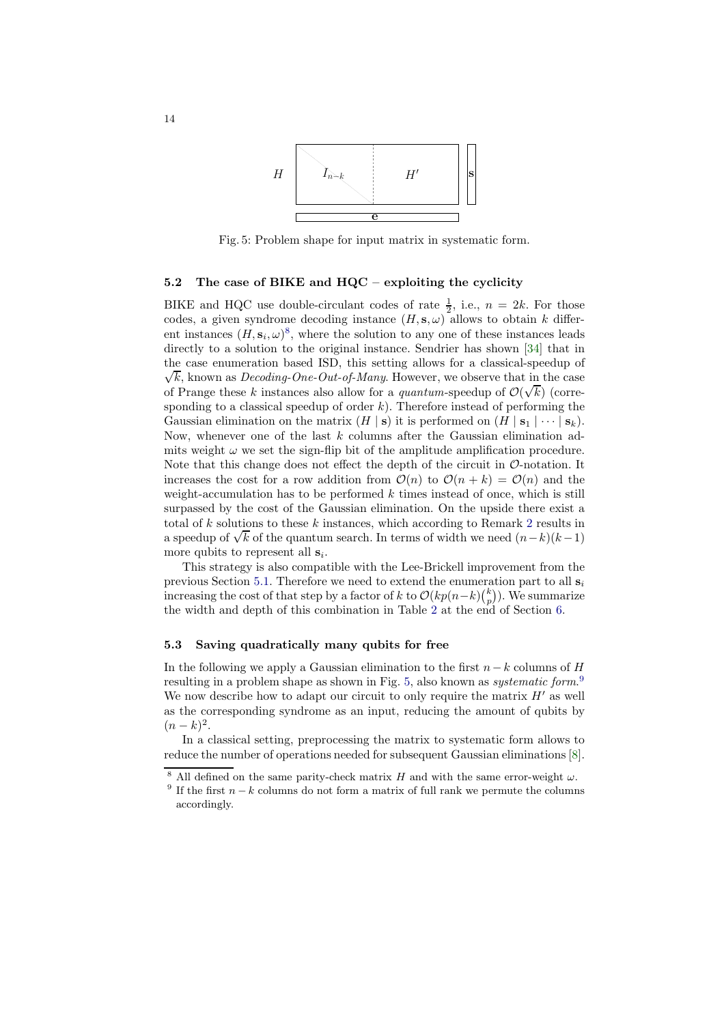<span id="page-13-1"></span>

Fig. 5: Problem shape for input matrix in systematic form.

### 5.2 The case of BIKE and  $HQC -$  exploiting the cyclicity

BIKE and HQC use double-circulant codes of rate  $\frac{1}{2}$ , i.e.,  $n = 2k$ . For those codes, a given syndrome decoding instance  $(H, s, \omega)$  allows to obtain k different instances  $(H, s_i, \omega)^8$  $(H, s_i, \omega)^8$ , where the solution to any one of these instances leads directly to a solution to the original instance. Sendrier has shown [\[34\]](#page-29-19) that in the case enumeration based ISD, this setting allows for a classical-s peedup of  $\sqrt{k}$ , known as *Decoding-One-Out-of-Many*. However, we observe that in the case of Prange these k instances also allow for a *quantum*-speedup of  $\mathcal{O}(\sqrt{k})$  (corresponding to a classical speedup of order  $k$ ). Therefore instead of performing the Gaussian elimination on the matrix  $(H \mid s)$  it is performed on  $(H \mid s_1 \mid \cdots \mid s_k)$ . Now, whenever one of the last k columns after the Gaussian elimination admits weight  $\omega$  we set the sign-flip bit of the amplitude amplification procedure. Note that this change does not effect the depth of the circuit in  $\mathcal{O}$ -notation. It increases the cost for a row addition from  $\mathcal{O}(n)$  to  $\mathcal{O}(n+k) = \mathcal{O}(n)$  and the weight-accumulation has to be performed  $k$  times instead of once, which is still surpassed by the cost of the Gaussian elimination. On the upside there exist a total of  $k$  solutions to these  $k$  instances, which according to Remark [2](#page-11-3) results in a speedup of  $\sqrt{k}$  of the quantum search. In terms of width we need  $(n-k)(k-1)$ more qubits to represent all  $s_i$ .

This strategy is also compatible with the Lee-Brickell improvement from the previous Section [5.1.](#page-11-4) Therefore we need to extend the enumeration part to all  $s_i$ increasing the cost of that step by a factor of k to  $\mathcal{O}(kp(n-k)\binom{k}{p})$ . We summarize the width and depth of this combination in Table [2](#page-27-1) at the end of Section [6.](#page-15-0)

### 5.3 Saving quadratically many qubits for free

In the following we apply a Gaussian elimination to the first  $n-k$  columns of H resulting in a problem shape as shown in Fig. [5,](#page-13-1) also known as *systematic form*.<sup>[9](#page-13-2)</sup> We now describe how to adapt our circuit to only require the matrix  $H'$  as well as the corresponding syndrome as an input, reducing the amount of qubits by  $(n-k)^2$ .

In a classical setting, preprocessing the matrix to systematic form allows to reduce the number of operations needed for subsequent Gaussian eliminations [\[8\]](#page-28-14).

All defined on the same parity-check matrix H and with the same error-weight  $\omega$ .

<span id="page-13-2"></span><span id="page-13-0"></span><sup>&</sup>lt;sup>9</sup> If the first  $n - k$  columns do not form a matrix of full rank we permute the columns accordingly.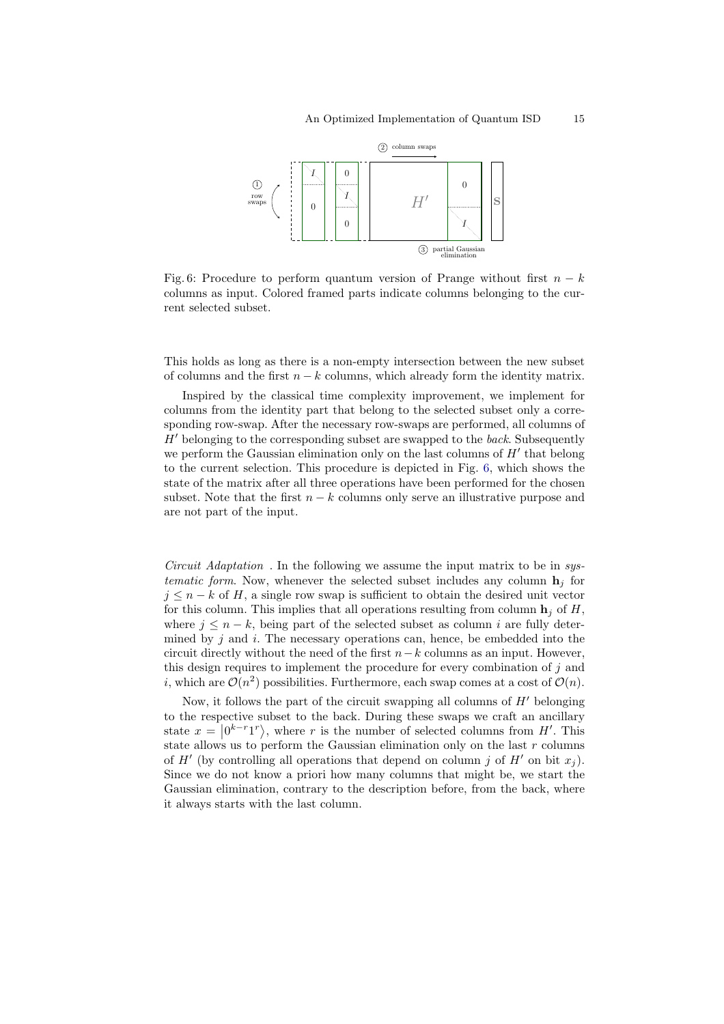<span id="page-14-0"></span>

Fig. 6: Procedure to perform quantum version of Prange without first  $n - k$ columns as input. Colored framed parts indicate columns belonging to the current selected subset.

This holds as long as there is a non-empty intersection between the new subset of columns and the first  $n - k$  columns, which already form the identity matrix.

Inspired by the classical time complexity improvement, we implement for columns from the identity part that belong to the selected subset only a corresponding row-swap. After the necessary row-swaps are performed, all columns of  $H'$  belonging to the corresponding subset are swapped to the back. Subsequently we perform the Gaussian elimination only on the last columns of  $H'$  that belong to the current selection. This procedure is depicted in Fig. [6,](#page-14-0) which shows the state of the matrix after all three operations have been performed for the chosen subset. Note that the first  $n - k$  columns only serve an illustrative purpose and are not part of the input.

Circuit Adaptation . In the following we assume the input matrix to be in systematic form. Now, whenever the selected subset includes any column  $\mathbf{h}_i$  for  $j \leq n - k$  of H, a single row swap is sufficient to obtain the desired unit vector for this column. This implies that all operations resulting from column  $\mathbf{h}_i$  of H, where  $j \leq n - k$ , being part of the selected subset as column i are fully determined by  $j$  and  $i$ . The necessary operations can, hence, be embedded into the circuit directly without the need of the first  $n-k$  columns as an input. However, this design requires to implement the procedure for every combination of j and *i*, which are  $\mathcal{O}(n^2)$  possibilities. Furthermore, each swap comes at a cost of  $\mathcal{O}(n)$ .

Now, it follows the part of the circuit swapping all columns of  $H'$  belonging to the respective subset to the back. During these swaps we craft an ancillary state  $x = |0^{k-r}1^r\rangle$ , where r is the number of selected columns from H'. This state allows us to perform the Gaussian elimination only on the last  $r$  columns of  $H'$  (by controlling all operations that depend on column j of  $H'$  on bit  $x_j$ ). Since we do not know a priori how many columns that might be, we start the Gaussian elimination, contrary to the description before, from the back, where it always starts with the last column.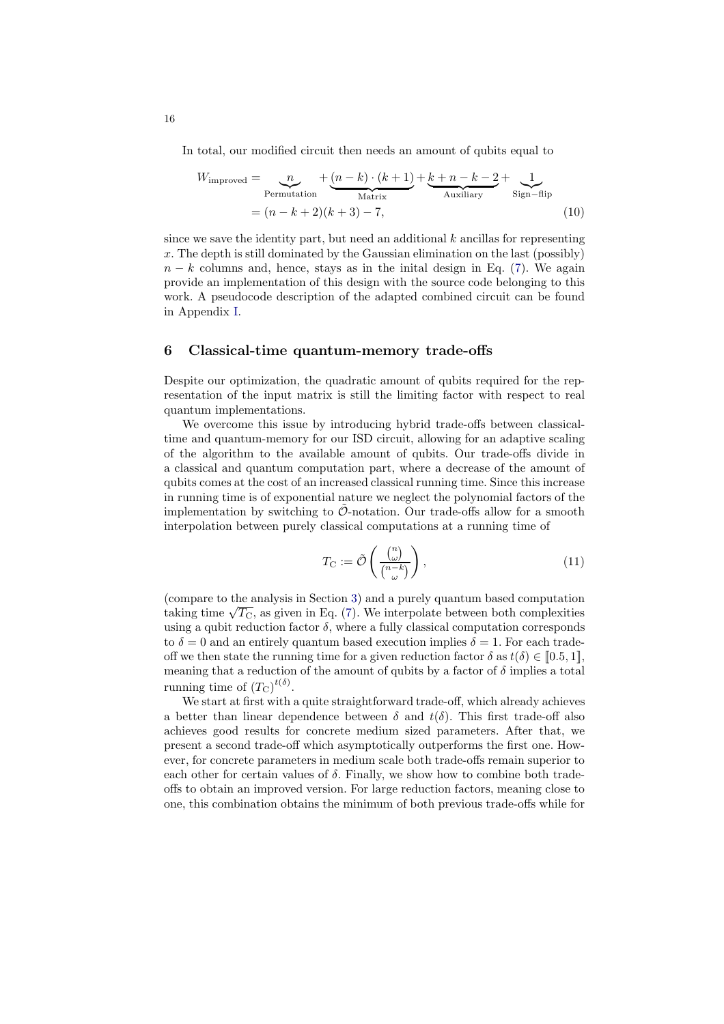In total, our modified circuit then needs an amount of qubits equal to

<span id="page-15-2"></span>
$$
W_{\text{improved}} = \underbrace{n}_{\text{Permutation}} + \underbrace{(n-k) \cdot (k+1)}_{\text{Matrix}} + \underbrace{k+n-k-2}_{\text{Auxiliary}} + \underbrace{1}_{\text{Sign-flip}}
$$
\n
$$
= (n-k+2)(k+3) - 7,
$$
\n(10)

since we save the identity part, but need an additional  $k$  ancillas for representing  $x$ . The depth is still dominated by the Gaussian elimination on the last (possibly)  $n - k$  columns and, hence, stays as in the initial design in Eq. [\(7\)](#page-11-5). We again provide an implementation of this design with the source code belonging to this work. A pseudocode description of the adapted combined circuit can be found in Appendix [I.](#page-30-0)

#### <span id="page-15-0"></span>6 Classical-time quantum-memory trade-offs

Despite our optimization, the quadratic amount of qubits required for the representation of the input matrix is still the limiting factor with respect to real quantum implementations.

We overcome this issue by introducing hybrid trade-offs between classicaltime and quantum-memory for our ISD circuit, allowing for an adaptive scaling of the algorithm to the available amount of qubits. Our trade-offs divide in a classical and quantum computation part, where a decrease of the amount of qubits comes at the cost of an increased classical running time. Since this increase in running time is of exponential nature we neglect the polynomial factors of the implementation by switching to  $\tilde{\mathcal{O}}$ -notation. Our trade-offs allow for a smooth interpolation between purely classical computations at a running time of

<span id="page-15-1"></span>
$$
T_{\mathcal{C}} := \tilde{\mathcal{O}}\left(\frac{\binom{n}{\omega}}{\binom{n-k}{\omega}}\right),\tag{11}
$$

(compare to the analysis in Section [3\)](#page-4-0) and a purely quantum based computation taking time  $\sqrt{T_{\rm C}}$ , as given in Eq. [\(7\)](#page-11-5). We interpolate between both complexities using a qubit reduction factor  $\delta$ , where a fully classical computation corresponds to  $\delta = 0$  and an entirely quantum based execution implies  $\delta = 1$ . For each tradeoff we then state the running time for a given reduction factor  $\delta$  as  $t(\delta) \in [0.5, 1],$ meaning that a reduction of the amount of qubits by a factor of  $\delta$  implies a total running time of  $(T_{\text{C}})^{t(\delta)}$ .

We start at first with a quite straightforward trade-off, which already achieves a better than linear dependence between  $\delta$  and  $t(\delta)$ . This first trade-off also achieves good results for concrete medium sized parameters. After that, we present a second trade-off which asymptotically outperforms the first one. However, for concrete parameters in medium scale both trade-offs remain superior to each other for certain values of  $\delta$ . Finally, we show how to combine both tradeoffs to obtain an improved version. For large reduction factors, meaning close to one, this combination obtains the minimum of both previous trade-offs while for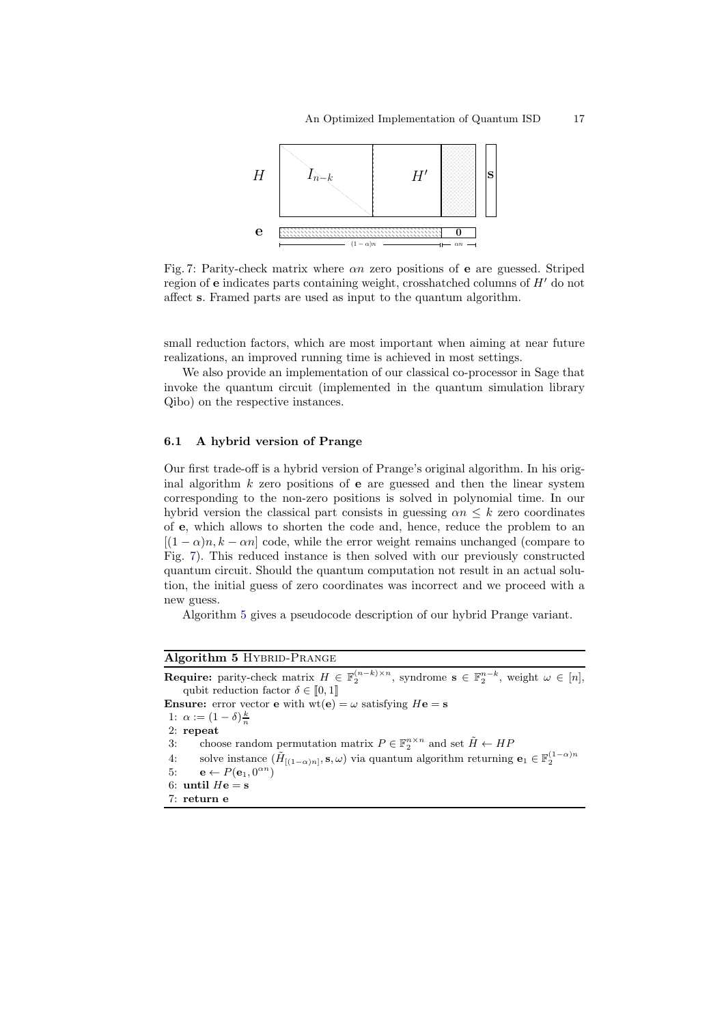<span id="page-16-0"></span>

Fig. 7: Parity-check matrix where  $\alpha n$  zero positions of **e** are guessed. Striped region of  $e$  indicates parts containing weight, crosshatched columns of  $H'$  do not affect s. Framed parts are used as input to the quantum algorithm.

small reduction factors, which are most important when aiming at near future realizations, an improved running time is achieved in most settings.

We also provide an implementation of our classical co-processor in Sage that invoke the quantum circuit (implemented in the quantum simulation library Qibo) on the respective instances.

#### <span id="page-16-2"></span>6.1 A hybrid version of Prange

Our first trade-off is a hybrid version of Prange's original algorithm. In his original algorithm  $k$  zero positions of **e** are guessed and then the linear system corresponding to the non-zero positions is solved in polynomial time. In our hybrid version the classical part consists in guessing  $\alpha n \leq k$  zero coordinates of e, which allows to shorten the code and, hence, reduce the problem to an  $[(1 - \alpha)n, k - \alpha n]$  code, while the error weight remains unchanged (compare to Fig. [7\)](#page-16-0). This reduced instance is then solved with our previously constructed quantum circuit. Should the quantum computation not result in an actual solution, the initial guess of zero coordinates was incorrect and we proceed with a new guess.

Algorithm [5](#page-16-1) gives a pseudocode description of our hybrid Prange variant.

### <span id="page-16-1"></span>Algorithm 5 HYBRID-PRANGE

**Require:** parity-check matrix  $H \in \mathbb{F}_2^{(n-k)\times n}$ , syndrome  $s \in \mathbb{F}_2^{n-k}$ , weight  $\omega \in [n]$ , qubit reduction factor  $\delta \in [0, 1]$ **Ensure:** error vector **e** with  $wt(e) = \omega$  satisfying  $He = s$ 

1:  $\alpha := (1 - \delta)\frac{k}{n}$ 

- 2: repeat
- 3: choose random permutation matrix  $P \in \mathbb{F}_2^{n \times n}$  and set  $\tilde{H} \leftarrow HF$
- 4: solve instance  $(\tilde{H}_{[(1-\alpha)n]}, \mathbf{s}, \omega)$  via quantum algorithm returning  $\mathbf{e}_1 \in \mathbb{F}_2^{(1-\alpha)n}$
- 5:  $\mathbf{e} \leftarrow P(\mathbf{e}_1, 0^{\alpha n})$ 6: until  $He = s$
- 7: return e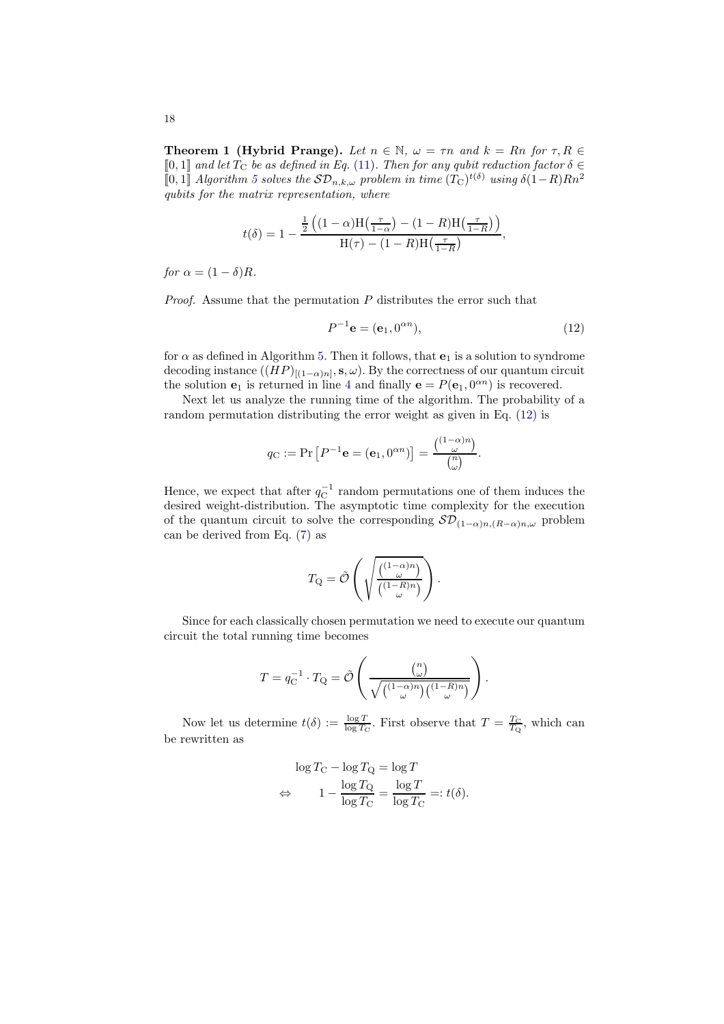<span id="page-17-1"></span>**Theorem 1 (Hybrid Prange).** Let  $n \in \mathbb{N}$ ,  $\omega = \tau n$  and  $k = Rn$  for  $\tau, R \in$  $[0, 1]$  and let  $T_c$  be as defined in Eq. [\(11\)](#page-15-1). Then for any qubit reduction factor  $\delta \in$ [0, 1] Algorithm [5](#page-16-1) solves the  $SD_{n,k,\omega}$  problem in time  $(T<sub>C</sub>)<sup>t(δ)</sup>$  using  $δ(1-R)Rn<sup>2</sup>$ qubits for the matrix representation, where

$$
t(\delta) = 1 - \frac{\frac{1}{2}\left((1-\alpha)H\left(\frac{\tau}{1-\alpha}\right) - (1-R)H\left(\frac{\tau}{1-R}\right)\right)}{H(\tau) - (1-R)H\left(\frac{\tau}{1-R}\right)},
$$

for  $\alpha = (1 - \delta)R$ .

*Proof.* Assume that the permutation  $P$  distributes the error such that

<span id="page-17-0"></span>
$$
P^{-1}\mathbf{e} = (\mathbf{e}_1, 0^{\alpha n}),\tag{12}
$$

.

for  $\alpha$  as defined in Algorithm [5.](#page-16-1) Then it follows, that  $e_1$  is a solution to syndrome decoding instance  $((HP)_{[(1-\alpha)n]}, \mathbf{s}, \omega)$ . By the correctness of our quantum circuit the solution  $\mathbf{e}_1$  is returned in line [4](#page-16-2) and finally  $\mathbf{e} = P(\mathbf{e}_1, 0^{\alpha n})$  is recovered.

Next let us analyze the running time of the algorithm. The probability of a random permutation distributing the error weight as given in Eq. [\(12\)](#page-17-0) is

$$
q_{\mathcal{C}} := \Pr\left[P^{-1}\mathbf{e} = (\mathbf{e}_1, 0^{\alpha n})\right] = \frac{\binom{(1-\alpha)n}{\omega}}{\binom{n}{\omega}}.
$$

Hence, we expect that after  $q_{\text{C}}^{-1}$  random permutations one of them induces the desired weight-distribution. The asymptotic time complexity for the execution of the quantum circuit to solve the corresponding  $\mathcal{SD}_{(1-\alpha)n,(R-\alpha)n,\omega}$  problem can be derived from Eq. [\(7\)](#page-11-5) as

$$
T_{\mathbf{Q}} = \tilde{\mathcal{O}}\left(\sqrt{\frac{\binom{(1-\alpha)n}{\omega}}{\binom{(1-R)n}{\omega}}}\right).
$$

Since for each classically chosen permutation we need to execute our quantum circuit the total running time becomes

$$
T = q_{\mathcal{C}}^{-1} \cdot T_{\mathcal{Q}} = \tilde{\mathcal{O}}\left(\frac{\binom{n}{\omega}}{\sqrt{\binom{(1-\alpha)n}{\omega}\binom{(1-R)n}{\omega}}}\right)
$$

Now let us determine  $t(\delta) := \frac{\log T}{\log T_C}$ . First observe that  $T = \frac{T_C}{T_Q}$ , which can be rewritten as

$$
\log T_{\rm C} - \log T_{\rm Q} = \log T
$$

$$
\Leftrightarrow \qquad 1 - \frac{\log T_{\rm Q}}{\log T_{\rm C}} = \frac{\log T}{\log T_{\rm C}} =: t(\delta).
$$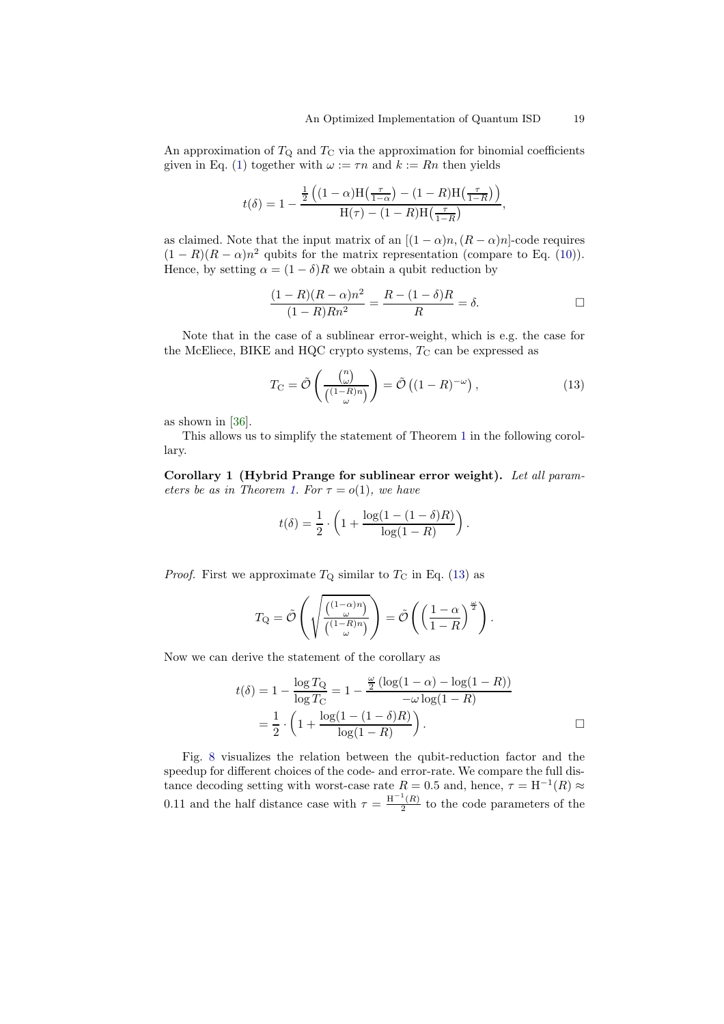An approximation of  $T_Q$  and  $T_C$  via the approximation for binomial coefficients given in Eq. [\(1\)](#page-3-2) together with  $\omega := \tau n$  and  $k := Rn$  then yields

$$
t(\delta) = 1 - \frac{\frac{1}{2}\left((1-\alpha)\mathrm{H}\left(\frac{\tau}{1-\alpha}\right) - (1-R)\mathrm{H}\left(\frac{\tau}{1-R}\right)\right)}{\mathrm{H}(\tau) - (1-R)\mathrm{H}\left(\frac{\tau}{1-R}\right)},
$$

as claimed. Note that the input matrix of an  $[(1 - \alpha)n, (R - \alpha)n]$ -code requires  $(1 - R)(R - \alpha)n^2$  qubits for the matrix representation (compare to Eq. [\(10\)](#page-15-2)). Hence, by setting  $\alpha = (1 - \delta)R$  we obtain a qubit reduction by

$$
\frac{(1-R)(R-\alpha)n^2}{(1-R)Rn^2} = \frac{R-(1-\delta)R}{R} = \delta.
$$

Note that in the case of a sublinear error-weight, which is e.g. the case for the McEliece, BIKE and HQC crypto systems,  $T_{\rm C}$  can be expressed as

<span id="page-18-0"></span>
$$
T_{\rm C} = \tilde{\mathcal{O}}\left(\frac{\binom{n}{\omega}}{\binom{(1-R)n}{\omega}}\right) = \tilde{\mathcal{O}}\left((1-R)^{-\omega}\right),\tag{13}
$$

as shown in [\[36\]](#page-29-20).

<span id="page-18-1"></span>This allows us to simplify the statement of Theorem [1](#page-17-1) in the following corollary.

Corollary 1 (Hybrid Prange for sublinear error weight). Let all param-eters be as in Theorem [1.](#page-17-1) For  $\tau = o(1)$ , we have

$$
t(\delta) = \frac{1}{2} \cdot \left( 1 + \frac{\log(1 - (1 - \delta)R)}{\log(1 - R)} \right).
$$

*Proof.* First we approximate  $T_Q$  similar to  $T_C$  in Eq. [\(13\)](#page-18-0) as

$$
T_{\mathbf{Q}} = \tilde{\mathcal{O}}\left(\sqrt{\frac{\binom{(1-\alpha)n}{\omega}}{\binom{(1-R)n}{\omega}}}\right) = \tilde{\mathcal{O}}\left(\left(\frac{1-\alpha}{1-R}\right)^{\frac{\omega}{2}}\right).
$$

Now we can derive the statement of the corollary as

$$
t(\delta) = 1 - \frac{\log T_{\rm Q}}{\log T_{\rm C}} = 1 - \frac{\frac{\omega}{2} (\log(1 - \alpha) - \log(1 - R))}{-\omega \log(1 - R)}
$$
  
=  $\frac{1}{2} \cdot \left(1 + \frac{\log(1 - (1 - \delta)R)}{\log(1 - R)}\right)$ .

Fig. [8](#page-19-0) visualizes the relation between the qubit-reduction factor and the speedup for different choices of the code- and error-rate. We compare the full distance decoding setting with worst-case rate  $R = 0.5$  and, hence,  $\tau = H^{-1}(R) \approx$ 0.11 and the half distance case with  $\tau = \frac{H^{-1}(R)}{2}$  $\frac{(\mathbf{A})}{2}$  to the code parameters of the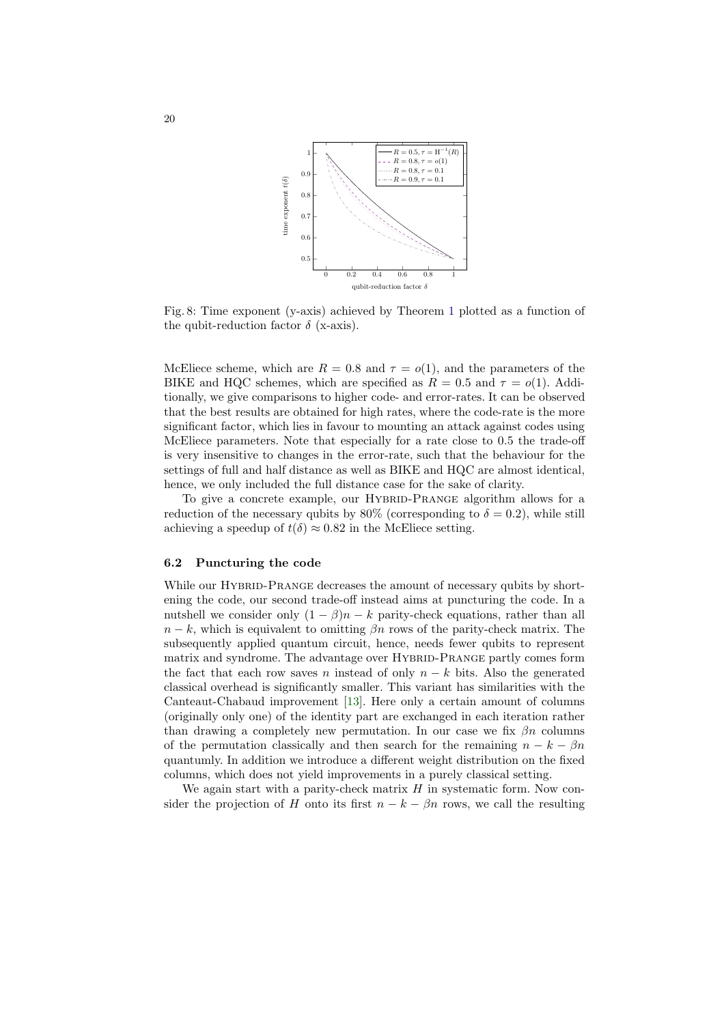<span id="page-19-0"></span>

Fig. 8: Time exponent (y-axis) achieved by Theorem [1](#page-17-1) plotted as a function of the qubit-reduction factor  $\delta$  (x-axis).

McEliece scheme, which are  $R = 0.8$  and  $\tau = o(1)$ , and the parameters of the BIKE and HQC schemes, which are specified as  $R = 0.5$  and  $\tau = o(1)$ . Additionally, we give comparisons to higher code- and error-rates. It can be observed that the best results are obtained for high rates, where the code-rate is the more significant factor, which lies in favour to mounting an attack against codes using McEliece parameters. Note that especially for a rate close to 0.5 the trade-off is very insensitive to changes in the error-rate, such that the behaviour for the settings of full and half distance as well as BIKE and HQC are almost identical, hence, we only included the full distance case for the sake of clarity.

To give a concrete example, our HYBRID-PRANGE algorithm allows for a reduction of the necessary qubits by 80% (corresponding to  $\delta = 0.2$ ), while still achieving a speedup of  $t(\delta) \approx 0.82$  in the McEliece setting.

#### 6.2 Puncturing the code

While our HYBRID-PRANGE decreases the amount of necessary qubits by shortening the code, our second trade-off instead aims at puncturing the code. In a nutshell we consider only  $(1 - \beta)n - k$  parity-check equations, rather than all  $n - k$ , which is equivalent to omitting  $\beta n$  rows of the parity-check matrix. The subsequently applied quantum circuit, hence, needs fewer qubits to represent matrix and syndrome. The advantage over HYBRID-PRANGE partly comes form the fact that each row saves n instead of only  $n - k$  bits. Also the generated classical overhead is significantly smaller. This variant has similarities with the Canteaut-Chabaud improvement [\[13\]](#page-28-15). Here only a certain amount of columns (originally only one) of the identity part are exchanged in each iteration rather than drawing a completely new permutation. In our case we fix  $\beta n$  columns of the permutation classically and then search for the remaining  $n - k - \beta n$ quantumly. In addition we introduce a different weight distribution on the fixed columns, which does not yield improvements in a purely classical setting.

We again start with a parity-check matrix  $H$  in systematic form. Now consider the projection of H onto its first  $n - k - \beta n$  rows, we call the resulting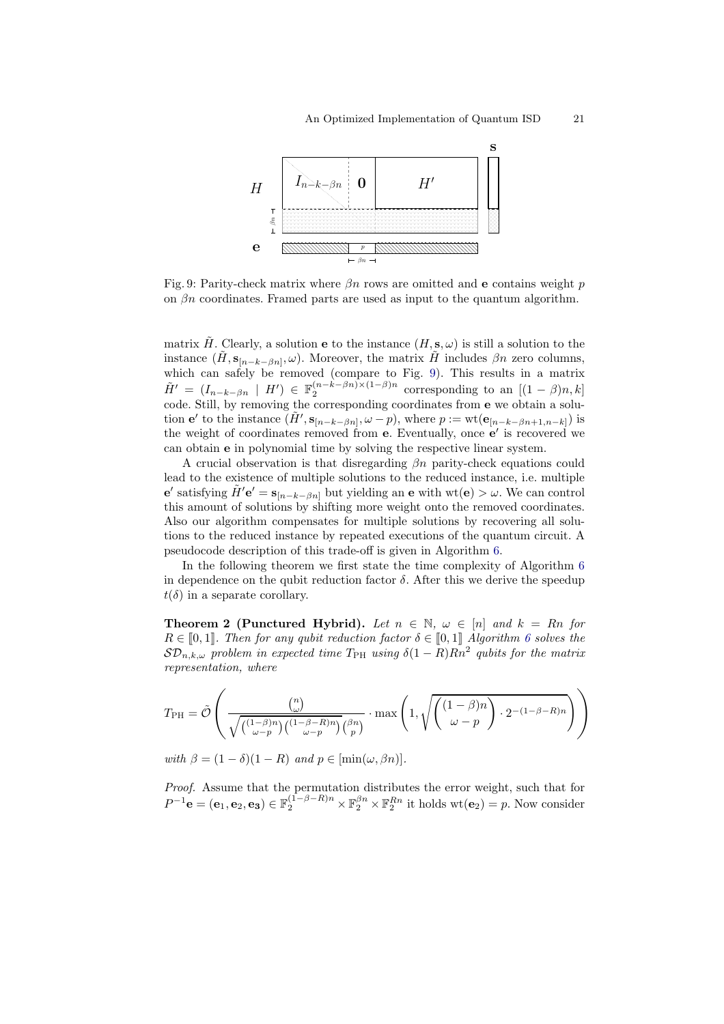<span id="page-20-0"></span>

Fig. 9: Parity-check matrix where  $\beta n$  rows are omitted and e contains weight p on  $\beta n$  coordinates. Framed parts are used as input to the quantum algorithm.

matrix H. Clearly, a solution **e** to the instance  $(H, s, \omega)$  is still a solution to the instance  $(\tilde{H}, \mathbf{s}_{[n-k-\beta n]}, \omega)$ . Moreover, the matrix  $\tilde{H}$  includes  $\beta n$  zero columns, which can safely be removed (compare to Fig. [9\)](#page-20-0). This results in a matrix  $\tilde{H}' = (I_{n-k-\beta n} \mid H') \in \mathbb{F}_2^{(n-k-\beta n)\times(1-\beta)n}$  corresponding to an  $[(1-\beta)n, k]$ code. Still, by removing the corresponding coordinates from e we obtain a solution **e'** to the instance  $(\tilde{H}', s_{[n-k-\beta n]}, \omega - p)$ , where  $p := \text{wt}(\mathbf{e}_{[n-k-\beta n+1,n-k]})$  is the weight of coordinates removed from **e**. Eventually, once **e**' is recovered we can obtain e in polynomial time by solving the respective linear system.

A crucial observation is that disregarding  $\beta n$  parity-check equations could lead to the existence of multiple solutions to the reduced instance, i.e. multiple  ${\bf e}'$  satisfying  $\tilde{H}'{\bf e}' = {\bf s}_{[n-k-\beta n]}$  but yielding an  ${\bf e}$  with  ${\rm wt}({\bf e}) > \omega$ . We can control this amount of solutions by shifting more weight onto the removed coordinates. Also our algorithm compensates for multiple solutions by recovering all solutions to the reduced instance by repeated executions of the quantum circuit. A pseudocode description of this trade-off is given in Algorithm [6.](#page-21-0)

In the following theorem we first state the time complexity of Algorithm [6](#page-21-0) in dependence on the qubit reduction factor  $\delta$ . After this we derive the speedup  $t(\delta)$  in a separate corollary.

<span id="page-20-1"></span>**Theorem 2 (Punctured Hybrid).** Let  $n \in \mathbb{N}$ ,  $\omega \in [n]$  and  $k = Rn$  for  $R \in [0,1]$ . Then for any qubit reduction factor  $\delta \in [0,1]$  Algorithm [6](#page-21-0) solves the  $\mathcal{SD}_{n,k,\omega}$  problem in expected time  $T_{\rm PH}$  using  $\delta(1-R)Rn^2$  qubits for the matrix representation, where

$$
T_{\rm PH} = \tilde{\mathcal{O}}\left(\frac{\binom{n}{\omega}}{\sqrt{\binom{(1-\beta)n}{\omega-p}\binom{(1-\beta-R)n}{\omega-p}\binom{\beta n}{p}}}\cdot \max\left(1, \sqrt{\binom{(1-\beta)n}{\omega-p}\cdot 2^{-(1-\beta-R)n}}\right)\right)
$$

with  $\beta = (1 - \delta)(1 - R)$  and  $p \in [\min(\omega, \beta n)].$ 

Proof. Assume that the permutation distributes the error weight, such that for  $P^{-1}\mathbf{e} = (\mathbf{e}_1, \mathbf{e}_2, \mathbf{e}_3) \in \mathbb{F}_2^{(1-\beta-R)n} \times \mathbb{F}_2^{\beta n} \times \mathbb{F}_2^{Rn}$  it holds  $\text{wt}(\mathbf{e}_2) = p$ . Now consider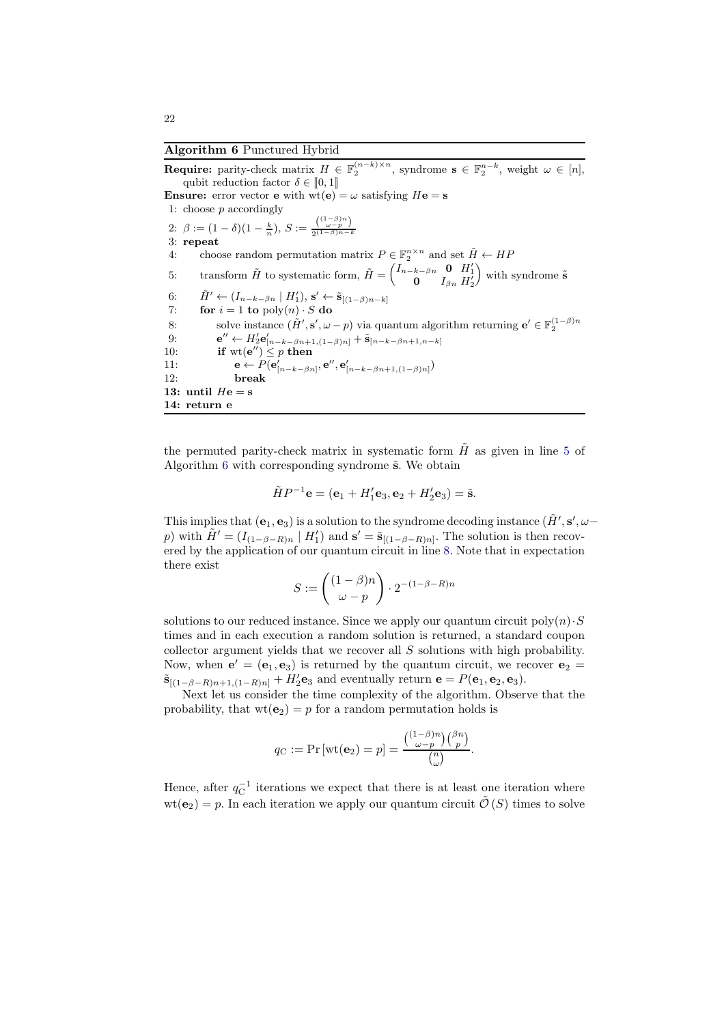#### <span id="page-21-0"></span>Algorithm 6 Punctured Hybrid

**Require:** parity-check matrix  $H \in \mathbb{F}_2^{(n-k)\times n}$ , syndrome  $s \in \mathbb{F}_2^{n-k}$ , weight  $\omega \in [n]$ , qubit reduction factor  $\delta \in [0, 1]$ **Ensure:** error vector **e** with  $wt(e) = \omega$  satisfying  $He = s$ 1: choose  $p$  accordingly 2:  $\beta := (1 - \delta)(1 - \frac{k}{n}), S := \frac{\binom{(1 - \beta)n}{\omega - p}}{2(1 - \beta)n - 1}$  $2^{(1-\beta)n-k}$ 3: repeat 4: choose random permutation matrix  $P \in \mathbb{F}_2^{n \times n}$  and set  $\tilde{H} \leftarrow HF$ 5: transform  $\tilde{H}$  to systematic form,  $\tilde{H} = \begin{pmatrix} I_{n-k-\beta n} & \mathbf{0} & H_1' \\ \mathbf{0} & I_{\beta n} & H_2' \end{pmatrix}$  $\sum_{i=1}^{\infty}$  with syndrome  $\tilde{s}$ 6:  $\tilde{H}' \leftarrow (I_{n-k-\beta n} \mid H'_1), \mathbf{s}' \leftarrow \tilde{\mathbf{s}}_{[(1-\beta)n-k]}$ 7: **for**  $i = 1$  **to**  $\text{poly}(n) \cdot S$  **do**<br>8: **solve** instance  $(\tilde{H}', \mathbf{s}', \omega)$ 8: solve instance  $(\tilde{H}', \mathbf{s}', \omega - p)$  via quantum algorithm returning  $\mathbf{e}' \in \mathbb{F}_2^{(1-\beta)n}$  $9:$  $\tilde{\mathbf{S}}^{''} \leftarrow H_2' \mathbf{e}_{[n-k-\beta n+1,(1-\beta)n]}' + \tilde{\mathbf{s}}_{[n-k-\beta n+1,n-k]}$ 10: if  $\text{wt}(\mathbf{e}'') \leq p$  then 11:  $\mathbf{e} \leftarrow P(\mathbf{e}_{[n-k-\beta n]}', \mathbf{e}'', \mathbf{e}_{[n-k-\beta n+1,(1-\beta)n]}')$ 12: break 13: until  $He = s$ 14: return e

the permuted parity-check matrix in systematic form  $\tilde{H}$  as given in line [5](#page-20-0) of Algorithm  $6$  with corresponding syndrome  $\tilde{s}$ . We obtain

$$
\tilde{H}P^{-1}\mathbf{e} = (\mathbf{e}_1 + H'_1\mathbf{e}_3, \mathbf{e}_2 + H'_2\mathbf{e}_3) = \tilde{\mathbf{s}}.
$$

This implies that  $(e_1, e_3)$  is a solution to the syndrome decoding instance  $(H', s', \omega$ p) with  $\tilde{H}' = (I_{(1-\beta-R)n} | H'_1)$  and  $\mathbf{s}' = \tilde{\mathbf{s}}_{[(1-\beta-R)n]}$ . The solution is then recovered by the application of our quantum circuit in line [8.](#page-20-0) Note that in expectation there exist

$$
S:=\begin{pmatrix} (1-\beta)n \\ \omega-p \end{pmatrix} \cdot 2^{-(1-\beta-R)n}
$$

solutions to our reduced instance. Since we apply our quantum circuit  $poly(n) \cdot S$ times and in each execution a random solution is returned, a standard coupon collector argument yields that we recover all S solutions with high probability. Now, when  $e' = (e_1, e_3)$  is returned by the quantum circuit, we recover  $e_2 =$  $\tilde{\mathbf{s}}_{[(1-\beta-R)n+1,(1-R)n]} + H'_2 \mathbf{e}_3$  and eventually return  $\mathbf{e} = P(\mathbf{e}_1, \mathbf{e}_2, \mathbf{e}_3)$ .

Next let us consider the time complexity of the algorithm. Observe that the probability, that  $wt(e_2) = p$  for a random permutation holds is

$$
q_{\mathcal{C}} := \Pr\left[\text{wt}(\mathbf{e}_2) = p\right] = \frac{\binom{(1-\beta)n}{\omega-p}\binom{\beta n}{p}}{\binom{n}{\omega}}.
$$

Hence, after  $q_{\text{C}}^{-1}$  iterations we expect that there is at least one iteration where  $wt(\mathbf{e}_2) = p$ . In each iteration we apply our quantum circuit  $\tilde{\mathcal{O}}(S)$  times to solve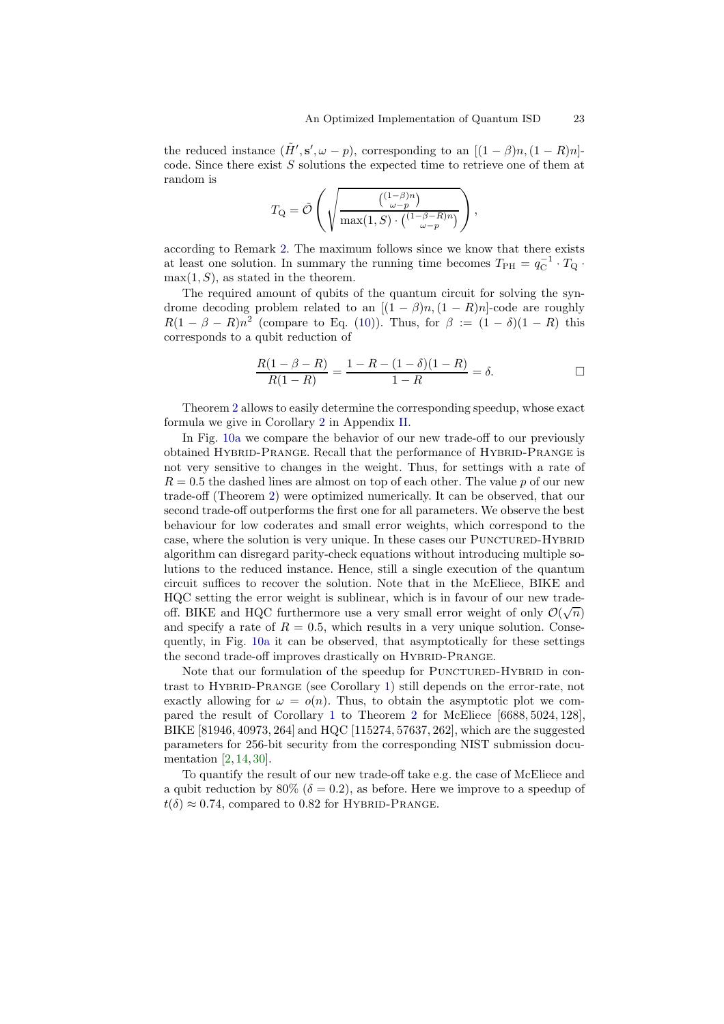the reduced instance  $(\tilde{H}', s', \omega - p)$ , corresponding to an  $[(1 - \beta)n, (1 - R)n]$ code. Since there exist  $S$  solutions the expected time to retrieve one of them at random is

$$
T_{\mathbf{Q}} = \tilde{\mathcal{O}}\left(\sqrt{\frac{\binom{(1-\beta)n}{\omega-p}}{\max(1,S)\cdot\binom{(1-\beta-R)n}{\omega-p}}}\right),\,
$$

according to Remark [2.](#page-11-3) The maximum follows since we know that there exists at least one solution. In summary the running time becomes  $T_{\rm PH} = q_{\rm C}^{-1} \cdot T_{\rm Q}$ .  $max(1, S)$ , as stated in the theorem.

The required amount of qubits of the quantum circuit for solving the syndrome decoding problem related to an  $[(1 - \beta)n, (1 - R)n]$ -code are roughly  $R(1 - \beta - R)n^2$  (compare to Eq. [\(10\)](#page-15-2)). Thus, for  $\beta := (1 - \delta)(1 - R)$  this corresponds to a qubit reduction of

$$
\frac{R(1 - \beta - R)}{R(1 - R)} = \frac{1 - R - (1 - \delta)(1 - R)}{1 - R} = \delta.
$$

Theorem [2](#page-20-1) allows to easily determine the corresponding speedup, whose exact formula we give in Corollary [2](#page-30-1) in Appendix [II.](#page-30-2)

In Fig. [10a](#page-23-0) we compare the behavior of our new trade-off to our previously obtained HYBRID-PRANGE. Recall that the performance of HYBRID-PRANGE is not very sensitive to changes in the weight. Thus, for settings with a rate of  $R = 0.5$  the dashed lines are almost on top of each other. The value p of our new trade-off (Theorem [2\)](#page-20-1) were optimized numerically. It can be observed, that our second trade-off outperforms the first one for all parameters. We observe the best behaviour for low coderates and small error weights, which correspond to the case, where the solution is very unique. In these cases our PUNCTURED-HYBRID algorithm can disregard parity-check equations without introducing multiple solutions to the reduced instance. Hence, still a single execution of the quantum circuit suffices to recover the solution. Note that in the McEliece, BIKE and HQC setting the error weight is sublinear, which is in favour of our new tradeoff. BIKE and HQC furthermore use a very small error weight of only  $\mathcal{O}(\sqrt{n})$ and specify a rate of  $R = 0.5$ , which results in a very unique solution. Consequently, in Fig. [10a](#page-23-0) it can be observed, that asymptotically for these settings the second trade-off improves drastically on HYBRID-PRANGE.

Note that our formulation of the speedup for PUNCTURED-HYBRID in contrast to Hybrid-Prange (see Corollary [1\)](#page-18-1) still depends on the error-rate, not exactly allowing for  $\omega = o(n)$ . Thus, to obtain the asymptotic plot we compared the result of Corollary [1](#page-18-1) to Theorem [2](#page-20-1) for McEliece [6688, 5024, 128], BIKE [81946, 40973, 264] and HQC [115274, 57637, 262], which are the suggested parameters for 256-bit security from the corresponding NIST submission documentation [\[2,](#page-28-1) [14,](#page-28-0) [30\]](#page-29-0).

To quantify the result of our new trade-off take e.g. the case of McEliece and a qubit reduction by 80% ( $\delta = 0.2$ ), as before. Here we improve to a speedup of  $t(\delta) \approx 0.74$ , compared to 0.82 for HYBRID-PRANGE.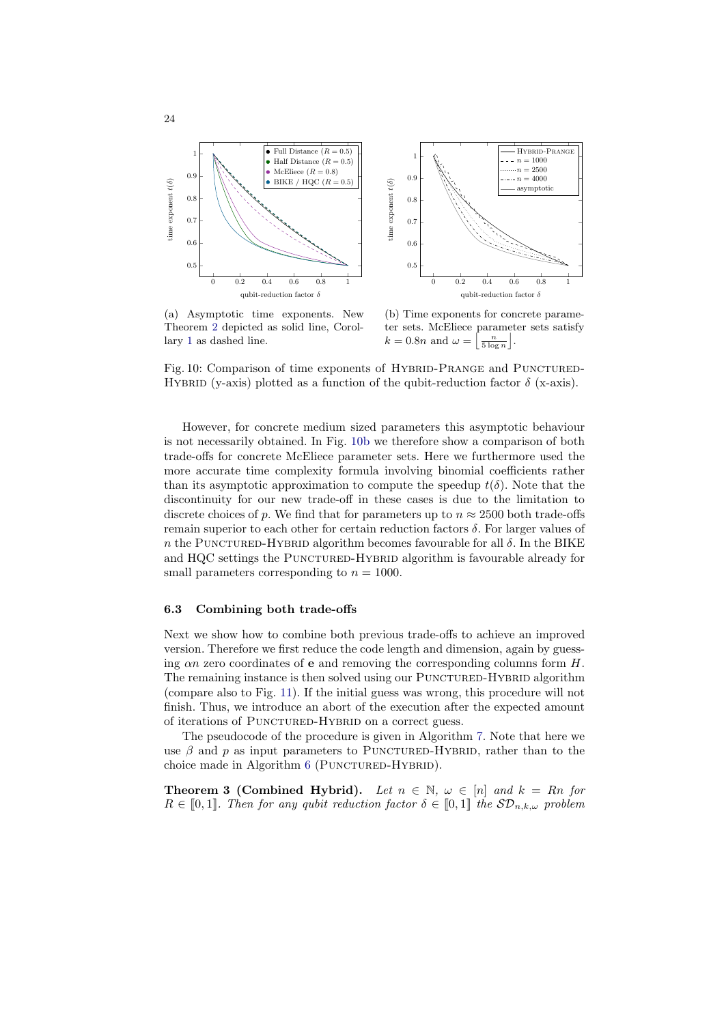<span id="page-23-0"></span>

(a) Asymptotic time exponents. New Theorem [2](#page-20-1) depicted as solid line, Corollary [1](#page-18-1) as dashed line.

(b) Time exponents for concrete parameter sets. McEliece parameter sets satisfy  $k = 0.8n$  and  $\omega =$  $\left\lfloor \frac{n}{5 \log n} \right\rfloor$ .

Fig. 10: Comparison of time exponents of HYBRID-PRANGE and PUNCTURED-HYBRID (y-axis) plotted as a function of the qubit-reduction factor  $\delta$  (x-axis).

However, for concrete medium sized parameters this asymptotic behaviour is not necessarily obtained. In Fig. [10b](#page-23-0) we therefore show a comparison of both trade-offs for concrete McEliece parameter sets. Here we furthermore used the more accurate time complexity formula involving binomial coefficients rather than its asymptotic approximation to compute the speedup  $t(\delta)$ . Note that the discontinuity for our new trade-off in these cases is due to the limitation to discrete choices of p. We find that for parameters up to  $n \approx 2500$  both trade-offs remain superior to each other for certain reduction factors  $\delta$ . For larger values of n the PUNCTURED-HYBRID algorithm becomes favourable for all  $\delta$ . In the BIKE and HQC settings the PUNCTURED-HYBRID algorithm is favourable already for small parameters corresponding to  $n = 1000$ .

#### 6.3 Combining both trade-offs

Next we show how to combine both previous trade-offs to achieve an improved version. Therefore we first reduce the code length and dimension, again by guessing  $\alpha n$  zero coordinates of **e** and removing the corresponding columns form  $H$ . The remaining instance is then solved using our PUNCTURED-HYBRID algorithm (compare also to Fig. [11\)](#page-24-0). If the initial guess was wrong, this procedure will not finish. Thus, we introduce an abort of the execution after the expected amount of iterations of PUNCTURED-HYBRID on a correct guess.

The pseudocode of the procedure is given in Algorithm [7.](#page-24-1) Note that here we use  $\beta$  and p as input parameters to PUNCTURED-HYBRID, rather than to the choice made in Algorithm [6](#page-21-0) (PUNCTURED-HYBRID).

**Theorem 3 (Combined Hybrid).** Let  $n \in \mathbb{N}$ ,  $\omega \in [n]$  and  $k = Rn$  for  $R \in [0,1]$ . Then for any qubit reduction factor  $\delta \in [0,1]$  the  $\mathcal{SD}_{n,k,\omega}$  problem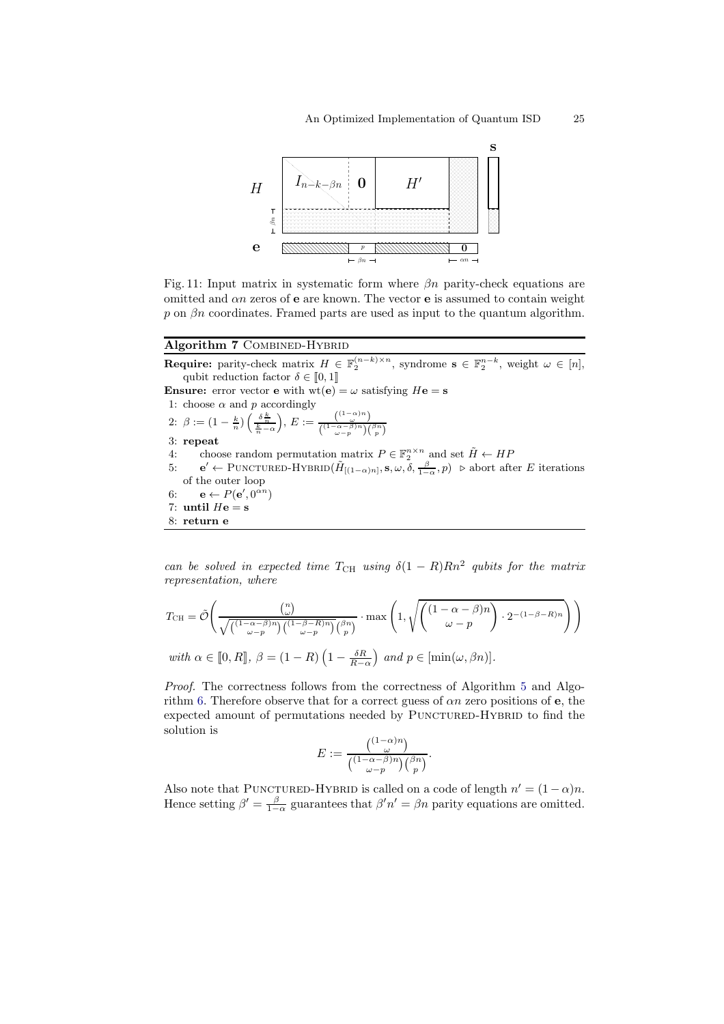<span id="page-24-0"></span>

Fig. 11: Input matrix in systematic form where  $\beta n$  parity-check equations are omitted and  $\alpha n$  zeros of **e** are known. The vector **e** is assumed to contain weight p on  $\beta$ n coordinates. Framed parts are used as input to the quantum algorithm.

# <span id="page-24-1"></span>Algorithm 7 COMBINED-HYBRID

**Require:** parity-check matrix  $H \in \mathbb{F}_2^{(n-k)\times n}$ , syndrome  $s \in \mathbb{F}_2^{n-k}$ , weight  $\omega \in [n]$ , qubit reduction factor  $\delta \in [0, 1]$ 

**Ensure:** error vector **e** with  $wt(e) = \omega$  satisfying  $He = s$ 1: choose  $\alpha$  and  $p$  accordingly 2:  $\beta := (1 - \frac{k}{n}) \left( \frac{\delta \frac{k}{n}}{\frac{k}{n} - \alpha} \right)$ ),  $E := \frac{\binom{(1-\alpha)n}{\omega}}{\sqrt{(1-\alpha-\beta)n}\sqrt{\omega}}$  $\binom{(1-\alpha-\beta)n}{\omega-p}\binom{\beta n}{p}$ 3: repeat

- 4: choose random permutation matrix  $P \in \mathbb{F}_2^{n \times n}$  and set  $\tilde{H} \leftarrow HF$
- 5:  $\mathbf{e}' \leftarrow \text{PUNCTURED-HYBRID}(\tilde{H}_{[(1-\alpha)n]}, \mathbf{s}, \omega, \delta, \frac{\beta}{1-\alpha}, p)$   $\triangleright$  abort after E iterations of the outer loop
- 6:  $\mathbf{e} \leftarrow P(\mathbf{e}', 0^{\alpha n})$
- 7: until  $He = s$
- 8: return e

can be solved in expected time  $T_{\text{CH}}$  using  $\delta(1 - R)Rn^2$  qubits for the matrix representation, where

$$
T_{\text{CH}} = \tilde{\mathcal{O}}\left(\frac{\binom{n}{\omega}}{\sqrt{\binom{(1-\alpha-\beta)n}{\omega-p}\binom{(1-\beta-R)n}{\omega-p}\binom{\beta n}{p}}}\cdot \max\left(1, \sqrt{\binom{(1-\alpha-\beta)n}{\omega-p}\cdot 2^{-(1-\beta-R)n}}\right)\right)
$$
  
with  $\alpha \in [0, R], \ \beta = (1 - R)\left(1 - \frac{\delta R}{R - \alpha}\right)$  and  $p \in [\min(\omega, \beta n)].$ 

Proof. The correctness follows from the correctness of Algorithm [5](#page-16-1) and Algo-rithm [6.](#page-21-0) Therefore observe that for a correct guess of  $\alpha n$  zero positions of **e**, the expected amount of permutations needed by PUNCTURED-HYBRID to find the solution is

$$
E := \frac{\binom{(1-\alpha)n}{\omega}}{\binom{(1-\alpha-\beta)n}{\omega-p}\binom{\beta n}{p}}.
$$

Also note that PUNCTURED-HYBRID is called on a code of length  $n' = (1 - \alpha)n$ . Hence setting  $\beta' = \frac{\beta}{1-\alpha}$  guarantees that  $\beta'n' = \beta n$  parity equations are omitted.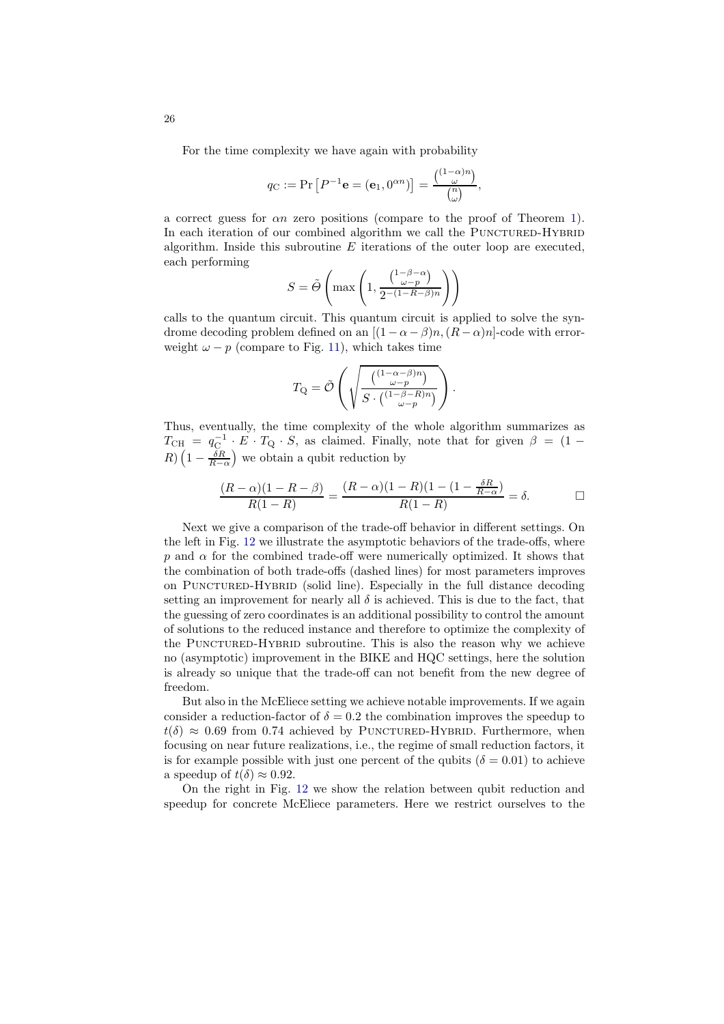For the time complexity we have again with probability

$$
q_{\mathcal{C}} := \Pr\left[P^{-1}\mathbf{e} = (\mathbf{e}_1, 0^{\alpha n})\right] = \frac{\binom{(1-\alpha)n}{\omega}}{\binom{n}{\omega}},
$$

a correct guess for αn zero positions (compare to the proof of Theorem [1\)](#page-17-1). In each iteration of our combined algorithm we call the PUNCTURED-HYBRID algorithm. Inside this subroutine  $E$  iterations of the outer loop are executed, each performing

$$
S = \tilde{\Theta}\left(\max\left(1, \frac{\binom{1-\beta-\alpha}{\omega-p}}{2^{-(1-R-\beta)n}}\right)\right)
$$

calls to the quantum circuit. This quantum circuit is applied to solve the syndrome decoding problem defined on an  $[(1 - \alpha - \beta)n, (R - \alpha)n]$ -code with errorweight  $\omega - p$  (compare to Fig. [11\)](#page-24-0), which takes time

$$
T_{\mathbf{Q}} = \tilde{\mathcal{O}}\left(\sqrt{\frac{\binom{(1-\alpha-\beta)n}{\omega-p}}{S\cdot\binom{(1-\beta-R)n}{\omega-p}}}\right).
$$

Thus, eventually, the time complexity of the whole algorithm summarizes as  $T_{\text{CH}} = q_{\text{C}}^{-1} \cdot E \cdot T_{\text{Q}} \cdot S$ , as claimed. Finally, note that for given  $\beta = (1 - \frac{1}{\sqrt{2\pi}})$  $R\left(1-\frac{\delta R}{R-\alpha}\right)$  we obtain a qubit reduction by

$$
\frac{(R-\alpha)(1-R-\beta)}{R(1-R)} = \frac{(R-\alpha)(1-R)(1-(1-\frac{\delta R}{R-\alpha})}{R(1-R)} = \delta.
$$

Next we give a comparison of the trade-off behavior in different settings. On the left in Fig. [12](#page-26-0) we illustrate the asymptotic behaviors of the trade-offs, where p and  $\alpha$  for the combined trade-off were numerically optimized. It shows that the combination of both trade-offs (dashed lines) for most parameters improves on Punctured-Hybrid (solid line). Especially in the full distance decoding setting an improvement for nearly all  $\delta$  is achieved. This is due to the fact, that the guessing of zero coordinates is an additional possibility to control the amount of solutions to the reduced instance and therefore to optimize the complexity of the PUNCTURED-HYBRID subroutine. This is also the reason why we achieve no (asymptotic) improvement in the BIKE and HQC settings, here the solution is already so unique that the trade-off can not benefit from the new degree of freedom.

But also in the McEliece setting we achieve notable improvements. If we again consider a reduction-factor of  $\delta = 0.2$  the combination improves the speedup to  $t(\delta) \approx 0.69$  from 0.74 achieved by PUNCTURED-HYBRID. Furthermore, when focusing on near future realizations, i.e., the regime of small reduction factors, it is for example possible with just one percent of the qubits ( $\delta = 0.01$ ) to achieve a speedup of  $t(\delta) \approx 0.92$ .

On the right in Fig. [12](#page-26-0) we show the relation between qubit reduction and speedup for concrete McEliece parameters. Here we restrict ourselves to the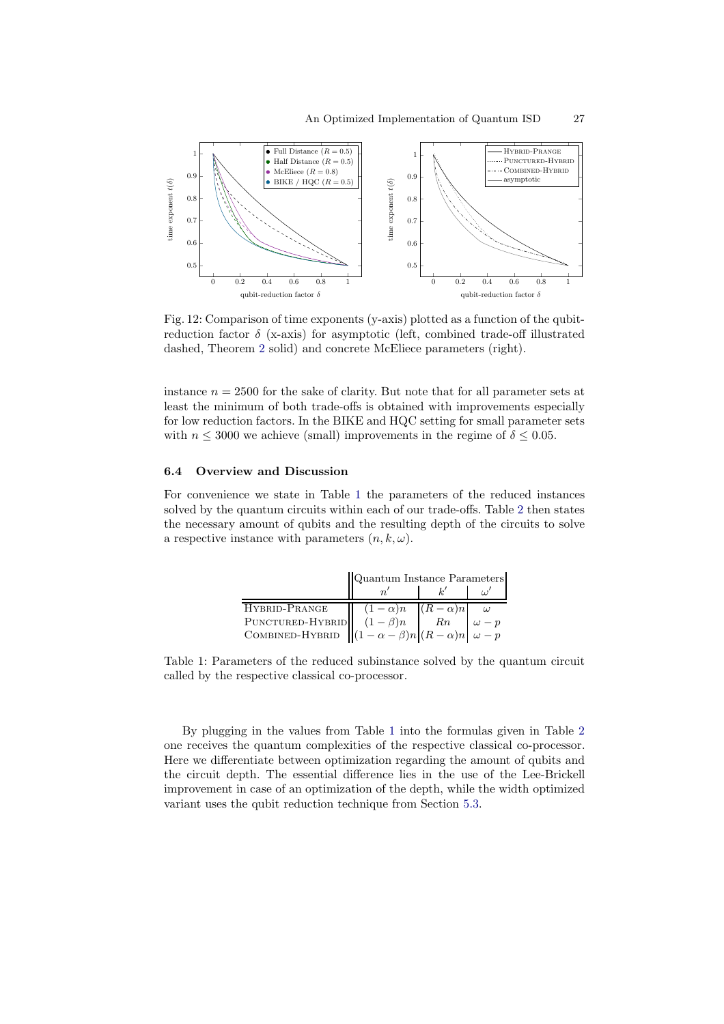<span id="page-26-0"></span>

Fig. 12: Comparison of time exponents (y-axis) plotted as a function of the qubitreduction factor  $\delta$  (x-axis) for asymptotic (left, combined trade-off illustrated dashed, Theorem [2](#page-20-1) solid) and concrete McEliece parameters (right).

instance  $n = 2500$  for the sake of clarity. But note that for all parameter sets at least the minimum of both trade-offs is obtained with improvements especially for low reduction factors. In the BIKE and HQC setting for small parameter sets with  $n \leq 3000$  we achieve (small) improvements in the regime of  $\delta \leq 0.05$ .

### 6.4 Overview and Discussion

<span id="page-26-1"></span>For convenience we state in Table [1](#page-26-1) the parameters of the reduced instances solved by the quantum circuits within each of our trade-offs. Table [2](#page-27-1) then states the necessary amount of qubits and the resulting depth of the circuits to solve a respective instance with parameters  $(n, k, \omega)$ .

|                                                                                                                                                    | Quantum Instance Parameters |  |              |
|----------------------------------------------------------------------------------------------------------------------------------------------------|-----------------------------|--|--------------|
|                                                                                                                                                    |                             |  |              |
| HYBRID-PRANGE                                                                                                                                      | $(1-\alpha)n$ $(R-\alpha)n$ |  | $\omega$     |
| PUNCTURED-HYBRID $(1 - \beta)n$ $\begin{bmatrix} n \\ (1 - \beta)n \end{bmatrix}$ $\begin{bmatrix} Rn \\ (R - \alpha)n \end{bmatrix}$ $\omega - p$ |                             |  | $\omega - p$ |
|                                                                                                                                                    |                             |  |              |

Table 1: Parameters of the reduced subinstance solved by the quantum circuit called by the respective classical co-processor.

By plugging in the values from Table [1](#page-26-1) into the formulas given in Table [2](#page-27-1) one receives the quantum complexities of the respective classical co-processor. Here we differentiate between optimization regarding the amount of qubits and the circuit depth. The essential difference lies in the use of the Lee-Brickell improvement in case of an optimization of the depth, while the width optimized variant uses the qubit reduction technique from Section [5.3.](#page-13-1)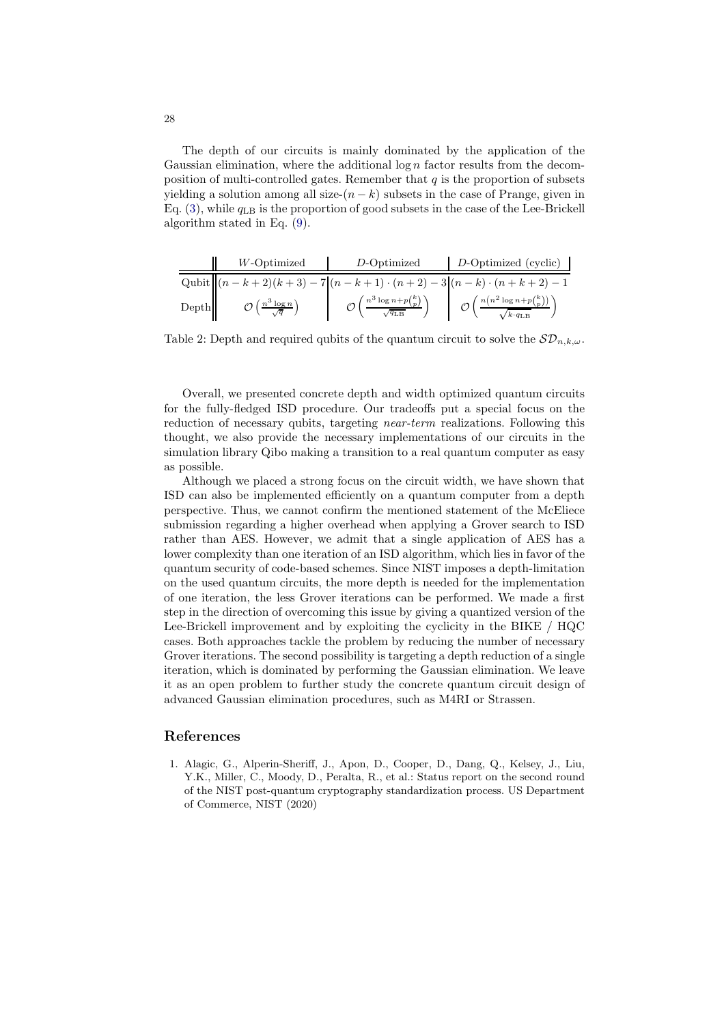The depth of our circuits is mainly dominated by the application of the Gaussian elimination, where the additional  $\log n$  factor results from the decomposition of multi-controlled gates. Remember that  $q$  is the proportion of subsets yielding a solution among all size- $(n - k)$  subsets in the case of Prange, given in Eq.  $(3)$ , while  $q_{LR}$  is the proportion of good subsets in the case of the Lee-Brickell algorithm stated in Eq. [\(9\)](#page-12-1).

<span id="page-27-1"></span>

|                                        | W-Optimized                        | $D$ -Optimized                                                                 | D-Optimized (cyclic)                                                      |
|----------------------------------------|------------------------------------|--------------------------------------------------------------------------------|---------------------------------------------------------------------------|
|                                        |                                    |                                                                                | Qubit $  (n-k+2)(k+3)-7 (n-k+1)\cdot (n+2)-3 (n-k)\cdot (n+k+2)-1$        |
| $\left\vert \mathbf{Depth}\right\vert$ | $\left(\frac{n^3\log n}{n}\right)$ | $\mathcal{O}\left(\frac{n^3\log n+p\binom{k}{p}}{\sqrt{q_{\text{LB}}}}\right)$ | $\mathcal{O}\left(\frac{n\left(n^2\log n+p\binom{k}{p}\right)}{n}\right)$ |

Table 2: Depth and required qubits of the quantum circuit to solve the  $\mathcal{SD}_{n,k,\omega}$ .

Overall, we presented concrete depth and width optimized quantum circuits for the fully-fledged ISD procedure. Our tradeoffs put a special focus on the reduction of necessary qubits, targeting *near-term* realizations. Following this thought, we also provide the necessary implementations of our circuits in the simulation library Qibo making a transition to a real quantum computer as easy as possible.

Although we placed a strong focus on the circuit width, we have shown that ISD can also be implemented efficiently on a quantum computer from a depth perspective. Thus, we cannot confirm the mentioned statement of the McEliece submission regarding a higher overhead when applying a Grover search to ISD rather than AES. However, we admit that a single application of AES has a lower complexity than one iteration of an ISD algorithm, which lies in favor of the quantum security of code-based schemes. Since NIST imposes a depth-limitation on the used quantum circuits, the more depth is needed for the implementation of one iteration, the less Grover iterations can be performed. We made a first step in the direction of overcoming this issue by giving a quantized version of the Lee-Brickell improvement and by exploiting the cyclicity in the BIKE / HQC cases. Both approaches tackle the problem by reducing the number of necessary Grover iterations. The second possibility is targeting a depth reduction of a single iteration, which is dominated by performing the Gaussian elimination. We leave it as an open problem to further study the concrete quantum circuit design of advanced Gaussian elimination procedures, such as M4RI or Strassen.

### <span id="page-27-0"></span>References

1. Alagic, G., Alperin-Sheriff, J., Apon, D., Cooper, D., Dang, Q., Kelsey, J., Liu, Y.K., Miller, C., Moody, D., Peralta, R., et al.: Status report on the second round of the NIST post-quantum cryptography standardization process. US Department of Commerce, NIST (2020)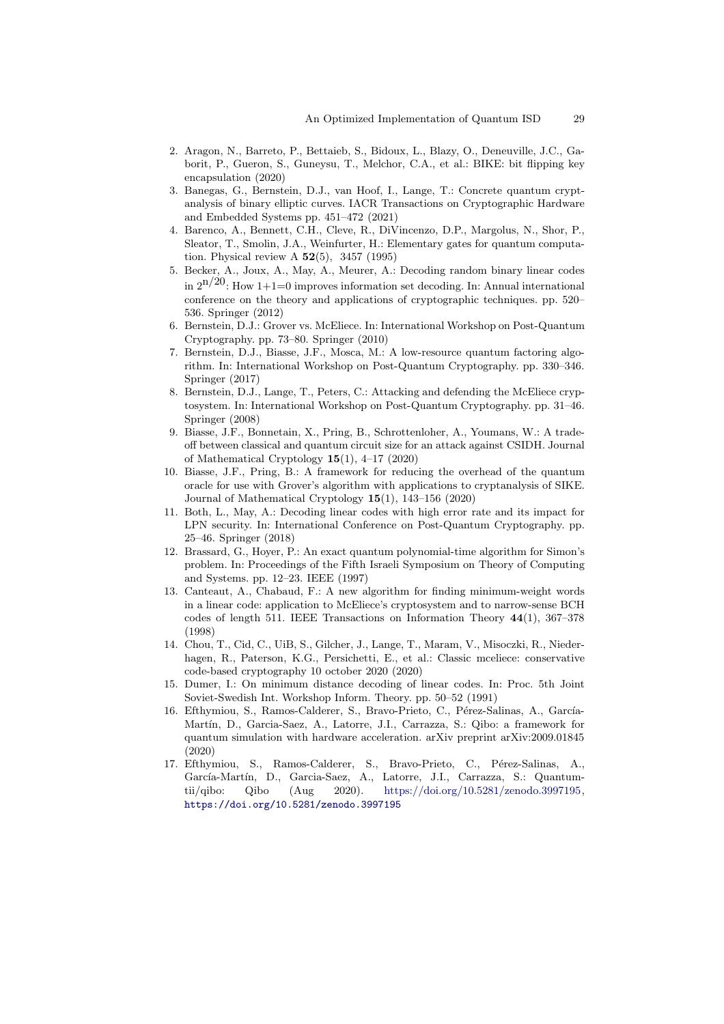- <span id="page-28-1"></span>2. Aragon, N., Barreto, P., Bettaieb, S., Bidoux, L., Blazy, O., Deneuville, J.C., Gaborit, P., Gueron, S., Guneysu, T., Melchor, C.A., et al.: BIKE: bit flipping key encapsulation (2020)
- <span id="page-28-6"></span>3. Banegas, G., Bernstein, D.J., van Hoof, I., Lange, T.: Concrete quantum cryptanalysis of binary elliptic curves. IACR Transactions on Cryptographic Hardware and Embedded Systems pp. 451–472 (2021)
- <span id="page-28-12"></span>4. Barenco, A., Bennett, C.H., Cleve, R., DiVincenzo, D.P., Margolus, N., Shor, P., Sleator, T., Smolin, J.A., Weinfurter, H.: Elementary gates for quantum computation. Physical review A  $52(5)$ , 3457 (1995)
- <span id="page-28-2"></span>5. Becker, A., Joux, A., May, A., Meurer, A.: Decoding random binary linear codes in  $2^{n/20}$ : How 1+1=0 improves information set decoding. In: Annual international conference on the theory and applications of cryptographic techniques. pp. 520– 536. Springer (2012)
- <span id="page-28-5"></span>6. Bernstein, D.J.: Grover vs. McEliece. In: International Workshop on Post-Quantum Cryptography. pp. 73–80. Springer (2010)
- <span id="page-28-7"></span>7. Bernstein, D.J., Biasse, J.F., Mosca, M.: A low-resource quantum factoring algorithm. In: International Workshop on Post-Quantum Cryptography. pp. 330–346. Springer (2017)
- <span id="page-28-14"></span>8. Bernstein, D.J., Lange, T., Peters, C.: Attacking and defending the McEliece cryptosystem. In: International Workshop on Post-Quantum Cryptography. pp. 31–46. Springer (2008)
- <span id="page-28-8"></span>9. Biasse, J.F., Bonnetain, X., Pring, B., Schrottenloher, A., Youmans, W.: A tradeoff between classical and quantum circuit size for an attack against CSIDH. Journal of Mathematical Cryptology 15(1), 4–17 (2020)
- <span id="page-28-9"></span>10. Biasse, J.F., Pring, B.: A framework for reducing the overhead of the quantum oracle for use with Grover's algorithm with applications to cryptanalysis of SIKE. Journal of Mathematical Cryptology 15(1), 143–156 (2020)
- <span id="page-28-3"></span>11. Both, L., May, A.: Decoding linear codes with high error rate and its impact for LPN security. In: International Conference on Post-Quantum Cryptography. pp. 25–46. Springer (2018)
- <span id="page-28-13"></span>12. Brassard, G., Hoyer, P.: An exact quantum polynomial-time algorithm for Simon's problem. In: Proceedings of the Fifth Israeli Symposium on Theory of Computing and Systems. pp. 12–23. IEEE (1997)
- <span id="page-28-15"></span>13. Canteaut, A., Chabaud, F.: A new algorithm for finding minimum-weight words in a linear code: application to McEliece's cryptosystem and to narrow-sense BCH codes of length 511. IEEE Transactions on Information Theory 44(1), 367–378 (1998)
- <span id="page-28-0"></span>14. Chou, T., Cid, C., UiB, S., Gilcher, J., Lange, T., Maram, V., Misoczki, R., Niederhagen, R., Paterson, K.G., Persichetti, E., et al.: Classic mceliece: conservative code-based cryptography 10 october 2020 (2020)
- <span id="page-28-4"></span>15. Dumer, I.: On minimum distance decoding of linear codes. In: Proc. 5th Joint Soviet-Swedish Int. Workshop Inform. Theory. pp. 50–52 (1991)
- <span id="page-28-10"></span>16. Efthymiou, S., Ramos-Calderer, S., Bravo-Prieto, C., Pérez-Salinas, A., García-Martín, D., Garcia-Saez, A., Latorre, J.I., Carrazza, S.: Qibo: a framework for quantum simulation with hardware acceleration. arXiv preprint arXiv:2009.01845 (2020)
- <span id="page-28-11"></span>17. Efthymiou, S., Ramos-Calderer, S., Bravo-Prieto, C., Pérez-Salinas, A., García-Martín, D., Garcia-Saez, A., Latorre, J.I., Carrazza, S.: Quantumtii/qibo: Qibo (Aug 2020). [https://doi.org/10.5281/zenodo.3997195,](https://doi.org/10.5281/zenodo.3997195) <https://doi.org/10.5281/zenodo.3997195>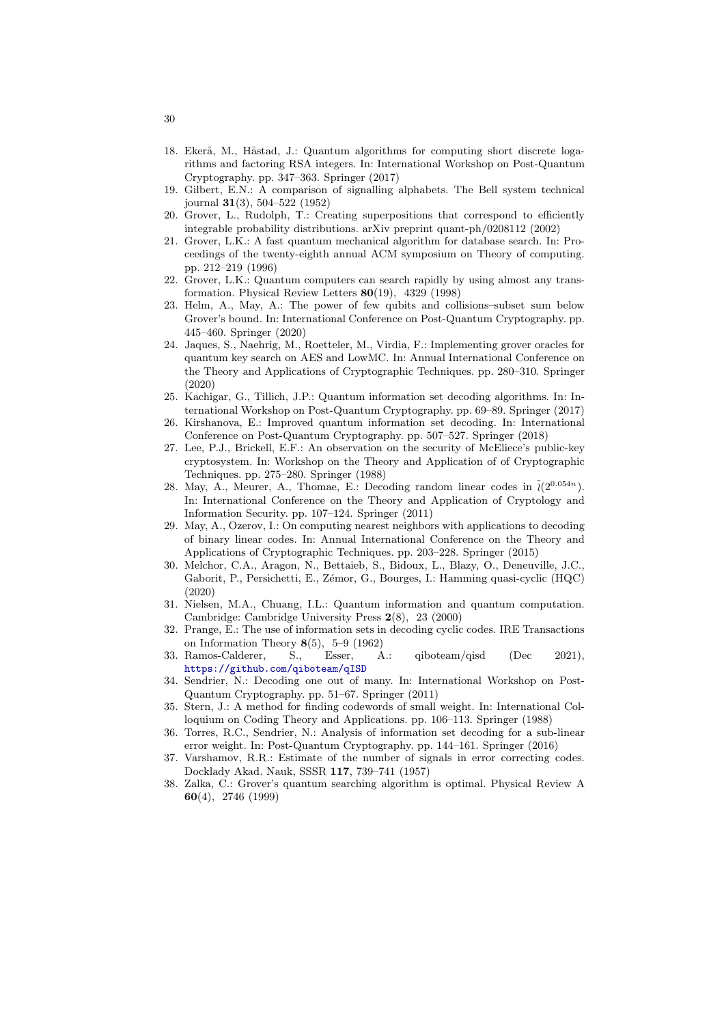- <span id="page-29-7"></span>18. Ekerå, M., Håstad, J.; Quantum algorithms for computing short discrete logarithms and factoring RSA integers. In: International Workshop on Post-Quantum Cryptography. pp. 347–363. Springer (2017)
- <span id="page-29-13"></span>19. Gilbert, E.N.: A comparison of signalling alphabets. The Bell system technical journal 31(3), 504–522 (1952)
- <span id="page-29-16"></span>20. Grover, L., Rudolph, T.: Creating superpositions that correspond to efficiently integrable probability distributions. arXiv preprint quant-ph/0208112 (2002)
- <span id="page-29-17"></span>21. Grover, L.K.: A fast quantum mechanical algorithm for database search. In: Proceedings of the twenty-eighth annual ACM symposium on Theory of computing. pp. 212–219 (1996)
- <span id="page-29-18"></span>22. Grover, L.K.: Quantum computers can search rapidly by using almost any transformation. Physical Review Letters 80(19), 4329 (1998)
- <span id="page-29-8"></span>23. Helm, A., May, A.: The power of few qubits and collisions–subset sum below Grover's bound. In: International Conference on Post-Quantum Cryptography. pp. 445–460. Springer (2020)
- <span id="page-29-9"></span>24. Jaques, S., Naehrig, M., Roetteler, M., Virdia, F.: Implementing grover oracles for quantum key search on AES and LowMC. In: Annual International Conference on the Theory and Applications of Cryptographic Techniques. pp. 280–310. Springer (2020)
- <span id="page-29-5"></span>25. Kachigar, G., Tillich, J.P.: Quantum information set decoding algorithms. In: International Workshop on Post-Quantum Cryptography. pp. 69–89. Springer (2017)
- <span id="page-29-6"></span>26. Kirshanova, E.: Improved quantum information set decoding. In: International Conference on Post-Quantum Cryptography. pp. 507–527. Springer (2018)
- <span id="page-29-12"></span>27. Lee, P.J., Brickell, E.F.: An observation on the security of McEliece's public-key cryptosystem. In: Workshop on the Theory and Application of of Cryptographic Techniques. pp. 275–280. Springer (1988)
- <span id="page-29-2"></span>28. May, A., Meurer, A., Thomae, E.: Decoding random linear codes in  $\tilde{\ell}(2^{0.054n})$ . In: International Conference on the Theory and Application of Cryptology and Information Security. pp. 107–124. Springer (2011)
- <span id="page-29-3"></span>29. May, A., Ozerov, I.: On computing nearest neighbors with applications to decoding of binary linear codes. In: Annual International Conference on the Theory and Applications of Cryptographic Techniques. pp. 203–228. Springer (2015)
- <span id="page-29-0"></span>30. Melchor, C.A., Aragon, N., Bettaieb, S., Bidoux, L., Blazy, O., Deneuville, J.C., Gaborit, P., Persichetti, E., Zémor, G., Bourges, I.: Hamming quasi-cyclic (HQC) (2020)
- <span id="page-29-15"></span>31. Nielsen, M.A., Chuang, I.L.: Quantum information and quantum computation. Cambridge: Cambridge University Press 2(8), 23 (2000)
- <span id="page-29-1"></span>32. Prange, E.: The use of information sets in decoding cyclic codes. IRE Transactions on Information Theory  $8(5)$ , 5–9 (1962)
- <span id="page-29-11"></span>33. Ramos-Calderer, S., Esser, A.: qiboteam/qisd (Dec 2021), <https://github.com/qiboteam/qISD>
- <span id="page-29-19"></span>34. Sendrier, N.: Decoding one out of many. In: International Workshop on Post-Quantum Cryptography. pp. 51–67. Springer (2011)
- <span id="page-29-4"></span>35. Stern, J.: A method for finding codewords of small weight. In: International Colloquium on Coding Theory and Applications. pp. 106–113. Springer (1988)
- <span id="page-29-20"></span>36. Torres, R.C., Sendrier, N.: Analysis of information set decoding for a sub-linear error weight. In: Post-Quantum Cryptography. pp. 144–161. Springer (2016)
- <span id="page-29-14"></span>37. Varshamov, R.R.: Estimate of the number of signals in error correcting codes. Docklady Akad. Nauk, SSSR 117, 739–741 (1957)
- <span id="page-29-10"></span>38. Zalka, C.: Grover's quantum searching algorithm is optimal. Physical Review A 60(4), 2746 (1999)

30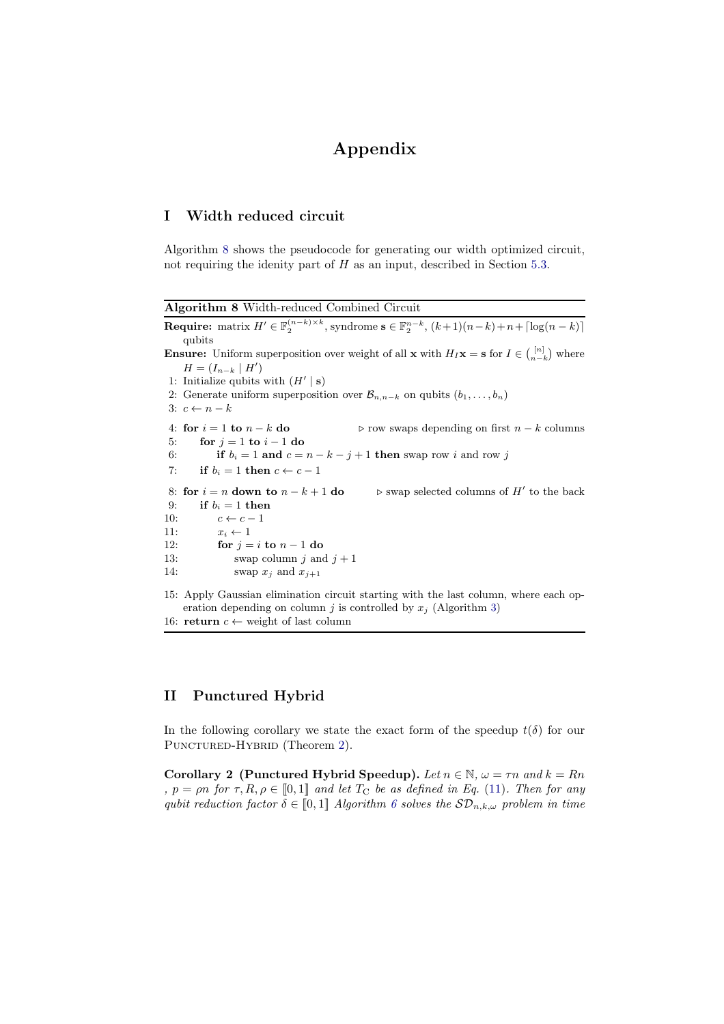# Appendix

# <span id="page-30-0"></span>I Width reduced circuit

Algorithm [8](#page-30-3) shows the pseudocode for generating our width optimized circuit, not requiring the idenity part of  $H$  as an input, described in Section [5.3.](#page-13-1)

<span id="page-30-3"></span>Algorithm 8 Width-reduced Combined Circuit

**Require:** matrix  $H' \in \mathbb{F}_2^{(n-k)\times k}$ , syndrome  $\mathbf{s} \in \mathbb{F}_2^{n-k}$ ,  $(k+1)(n-k)+n+\lceil \log(n-k) \rceil$ qubits **Ensure:** Uniform superposition over weight of all **x** with  $H_I$ **x** = **s** for  $I \in \binom{[n]}{n-k}$  where  $H=(I_{n-k} \mid H')$ 1: Initialize qubits with  $(H' | s)$ 2: Generate uniform superposition over  $\mathcal{B}_{n,n-k}$  on qubits  $(b_1,\ldots,b_n)$ 3:  $c \leftarrow n - k$ 4: for  $i = 1$  to  $n - k$  do  $\succeq$  row swaps depending on first  $n - k$  columns 5. for  $i = 1$  to  $i = 1$  do 5: for  $j = 1$  to  $i - 1$  do<br>6: if  $b_i = 1$  and  $c =$ 6: **if**  $b_i = 1$  **and**  $c = n - k - j + 1$  **then** swap row *i* and row *j* 7: **if**  $b_i = 1$  **then**  $c \leftarrow c - 1$ if  $b_i = 1$  then  $c \leftarrow c - 1$ 8: for  $i = n$  down to  $n - k + 1$  do<br>9: if  $b_i = 1$  then ′ to the back if  $b_i = 1$  then 10:  $c \leftarrow c - 1$ <br>11:  $x_i \leftarrow 1$ 11:  $x_i \leftarrow 1$ <br>12: for  $j =$ 12: **for**  $j = i$  **to**  $n - 1$  **do**<br>13: **swap column** i and swap column j and  $j + 1$ 14: swap  $x_i$  and  $x_{i+1}$ 15: Apply Gaussian elimination circuit starting with the last column, where each operation depending on column j is controlled by  $x_i$  (Algorithm [3\)](#page-8-1) 16: return  $c \leftarrow$  weight of last column

# <span id="page-30-2"></span>II Punctured Hybrid

<span id="page-30-1"></span>In the following corollary we state the exact form of the speedup  $t(\delta)$  for our PUNCTURED-HYBRID (Theorem [2\)](#page-20-1).

Corollary 2 (Punctured Hybrid Speedup). Let  $n \in \mathbb{N}$ ,  $\omega = \tau n$  and  $k = Rn$ ,  $p = \rho n$  for  $\tau, R, \rho \in [0, 1]$  and let  $T_c$  be as defined in Eq. [\(11\)](#page-15-1). Then for any qubit reduction factor  $\delta \in [0,1]$  Algorithm [6](#page-21-0) solves the  $\mathcal{SD}_{n,k,\omega}$  problem in time